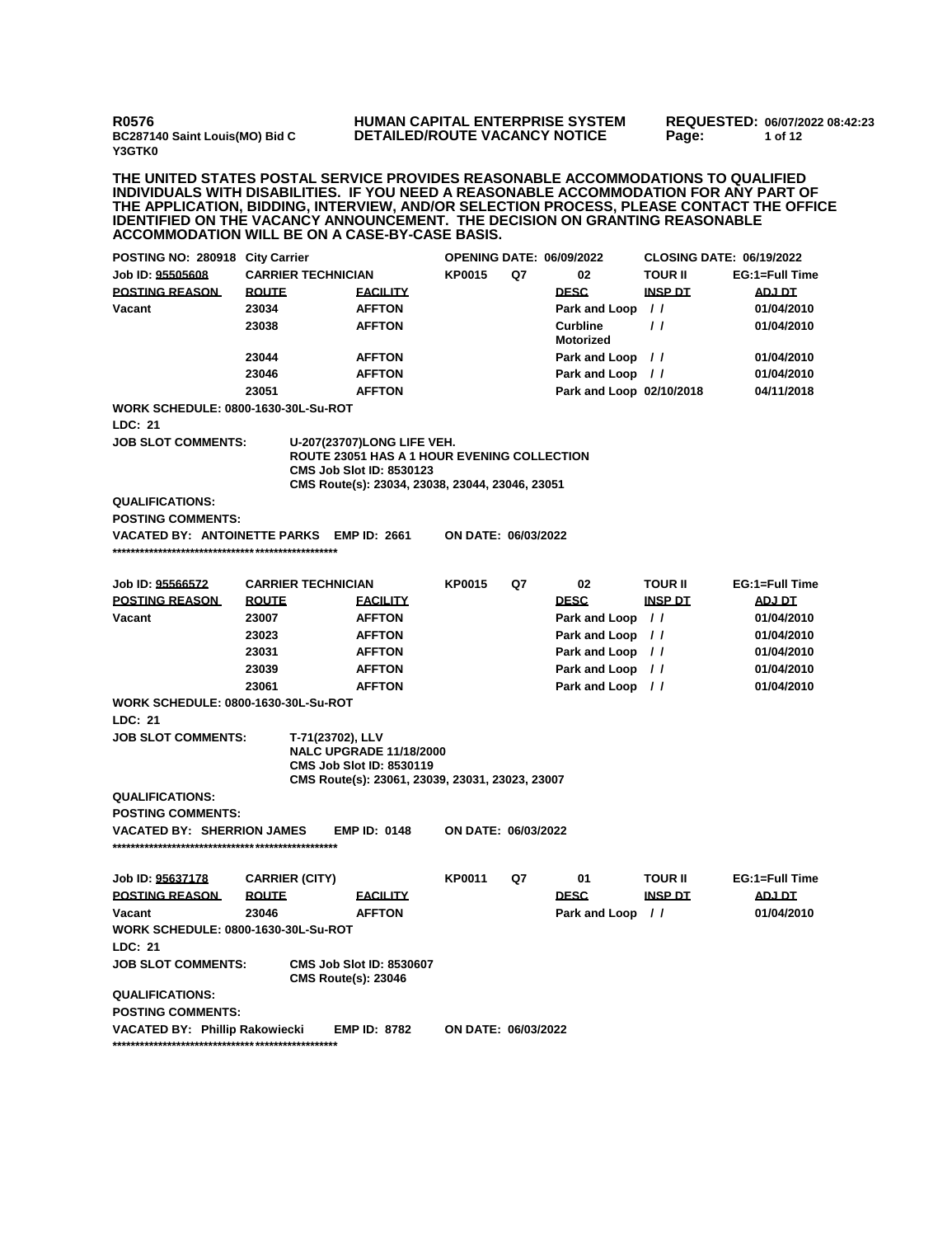**R0576 BC287140 Saint Louis(MO) Bid C Y3GTK0**

## **HUMAN CAPITAL ENTERPRISE SYSTEM DETAILED/ROUTE VACANCY NOTICE**

**REQUESTED: 06/07/2022 08:42:23 Page: 1 of 12** 

**THE UNITED STATES POSTAL SERVICE PROVIDES REASONABLE ACCOMMODATIONS TO QUALIFIED INDIVIDUALS WITH DISABILITIES. IF YOU NEED A REASONABLE ACCOMMODATION FOR ANY PART OF THE APPLICATION, BIDDING, INTERVIEW, AND/OR SELECTION PROCESS, PLEASE CONTACT THE OFFICE IDENTIFIED ON THE VACANCY ANNOUNCEMENT. THE DECISION ON GRANTING REASONABLE ACCOMMODATION WILL BE ON A CASE-BY-CASE BASIS.**

| POSTING NO: 280918 City Carrier                    |              |                            |                                                                                                                                                                 | <b>OPENING DATE: 06/09/2022</b> |    |                                     | <b>CLOSING DATE: 06/19/2022</b> |                |
|----------------------------------------------------|--------------|----------------------------|-----------------------------------------------------------------------------------------------------------------------------------------------------------------|---------------------------------|----|-------------------------------------|---------------------------------|----------------|
| Job ID: 95505608                                   |              | <b>CARRIER TECHNICIAN</b>  |                                                                                                                                                                 | <b>KP0015</b>                   | Q7 | 02                                  | <b>TOUR II</b>                  | EG:1=Full Time |
| <b>POSTING REASON</b>                              | <b>ROUTE</b> |                            | <b>FACILITY</b>                                                                                                                                                 |                                 |    | <b>DESC</b>                         | <b>INSP DT</b>                  | <b>ADJ DT</b>  |
| Vacant                                             | 23034        |                            | <b>AFFTON</b>                                                                                                                                                   |                                 |    | Park and Loop                       | $\prime\prime$                  | 01/04/2010     |
|                                                    | 23038        |                            | <b>AFFTON</b>                                                                                                                                                   |                                 |    | <b>Curbline</b><br><b>Motorized</b> | $\prime$                        | 01/04/2010     |
|                                                    | 23044        |                            | <b>AFFTON</b>                                                                                                                                                   |                                 |    | Park and Loop //                    |                                 | 01/04/2010     |
|                                                    | 23046        |                            | <b>AFFTON</b>                                                                                                                                                   |                                 |    | Park and Loop //                    |                                 | 01/04/2010     |
|                                                    | 23051        |                            | <b>AFFTON</b>                                                                                                                                                   |                                 |    | Park and Loop 02/10/2018            |                                 | 04/11/2018     |
| <b>WORK SCHEDULE: 0800-1630-30L-Su-ROT</b>         |              |                            |                                                                                                                                                                 |                                 |    |                                     |                                 |                |
| LDC: 21                                            |              |                            |                                                                                                                                                                 |                                 |    |                                     |                                 |                |
| <b>JOB SLOT COMMENTS:</b>                          |              |                            | U-207(23707)LONG LIFE VEH.<br>ROUTE 23051 HAS A 1 HOUR EVENING COLLECTION<br><b>CMS Job Slot ID: 8530123</b><br>CMS Route(s): 23034, 23038, 23044, 23046, 23051 |                                 |    |                                     |                                 |                |
| <b>QUALIFICATIONS:</b><br><b>POSTING COMMENTS:</b> |              |                            |                                                                                                                                                                 |                                 |    |                                     |                                 |                |
| VACATED BY: ANTOINETTE PARKS EMP ID: 2661          |              |                            |                                                                                                                                                                 | ON DATE: 06/03/2022             |    |                                     |                                 |                |
|                                                    |              |                            |                                                                                                                                                                 |                                 |    |                                     |                                 |                |
| Job ID: 95566572                                   |              | <b>CARRIER TECHNICIAN</b>  |                                                                                                                                                                 | <b>KP0015</b>                   | Q7 | 02                                  | <b>TOUR II</b>                  | EG:1=Full Time |
| <b>POSTING REASON</b>                              | <b>ROUTE</b> |                            | <b>FACILITY</b>                                                                                                                                                 |                                 |    | <b>DESC</b>                         | <b>INSP DT</b>                  | <b>ADJ DT</b>  |
| Vacant                                             | 23007        |                            | <b>AFFTON</b>                                                                                                                                                   |                                 |    | Park and Loop //                    |                                 | 01/04/2010     |
|                                                    | 23023        |                            | <b>AFFTON</b>                                                                                                                                                   |                                 |    | Park and Loop                       | $\frac{1}{2}$                   | 01/04/2010     |
|                                                    | 23031        |                            | <b>AFFTON</b>                                                                                                                                                   |                                 |    | Park and Loop                       | $\frac{1}{2}$                   | 01/04/2010     |
|                                                    | 23039        |                            | <b>AFFTON</b>                                                                                                                                                   |                                 |    | Park and Loop                       | $\prime$                        | 01/04/2010     |
|                                                    | 23061        |                            | <b>AFFTON</b>                                                                                                                                                   |                                 |    | Park and Loop //                    |                                 | 01/04/2010     |
| <b>WORK SCHEDULE: 0800-1630-30L-Su-ROT</b>         |              |                            |                                                                                                                                                                 |                                 |    |                                     |                                 |                |
| <b>LDC: 21</b>                                     |              |                            |                                                                                                                                                                 |                                 |    |                                     |                                 |                |
| <b>JOB SLOT COMMENTS:</b>                          |              | T-71(23702), LLV           | <b>NALC UPGRADE 11/18/2000</b><br><b>CMS Job Slot ID: 8530119</b><br>CMS Route(s): 23061, 23039, 23031, 23023, 23007                                            |                                 |    |                                     |                                 |                |
| <b>QUALIFICATIONS:</b>                             |              |                            |                                                                                                                                                                 |                                 |    |                                     |                                 |                |
| <b>POSTING COMMENTS:</b>                           |              |                            |                                                                                                                                                                 |                                 |    |                                     |                                 |                |
| <b>VACATED BY: SHERRION JAMES</b>                  |              |                            | <b>EMP ID: 0148</b>                                                                                                                                             | ON DATE: 06/03/2022             |    |                                     |                                 |                |
| Job ID: 95637178                                   |              | <b>CARRIER (CITY)</b>      |                                                                                                                                                                 | <b>KP0011</b>                   | Q7 | 01                                  | <b>TOUR II</b>                  | EG:1=Full Time |
| <b>POSTING REASON</b>                              | <b>ROUTE</b> |                            | <b>FACILITY</b>                                                                                                                                                 |                                 |    | <b>DESC</b>                         | <b>INSP DT</b>                  | ADJ DT         |
| Vacant                                             | 23046        |                            | <b>AFFTON</b>                                                                                                                                                   |                                 |    | Park and Loop                       | $\prime\prime$                  | 01/04/2010     |
| <b>WORK SCHEDULE: 0800-1630-30L-Su-ROT</b>         |              |                            |                                                                                                                                                                 |                                 |    |                                     |                                 |                |
| <b>LDC: 21</b>                                     |              |                            |                                                                                                                                                                 |                                 |    |                                     |                                 |                |
| <b>JOB SLOT COMMENTS:</b>                          |              | <b>CMS Route(s): 23046</b> | <b>CMS Job Slot ID: 8530607</b>                                                                                                                                 |                                 |    |                                     |                                 |                |
| <b>QUALIFICATIONS:</b>                             |              |                            |                                                                                                                                                                 |                                 |    |                                     |                                 |                |
| <b>POSTING COMMENTS:</b>                           |              |                            |                                                                                                                                                                 |                                 |    |                                     |                                 |                |
| <b>VACATED BY: Phillip Rakowiecki</b>              |              |                            | <b>EMP ID: 8782</b>                                                                                                                                             | ON DATE: 06/03/2022             |    |                                     |                                 |                |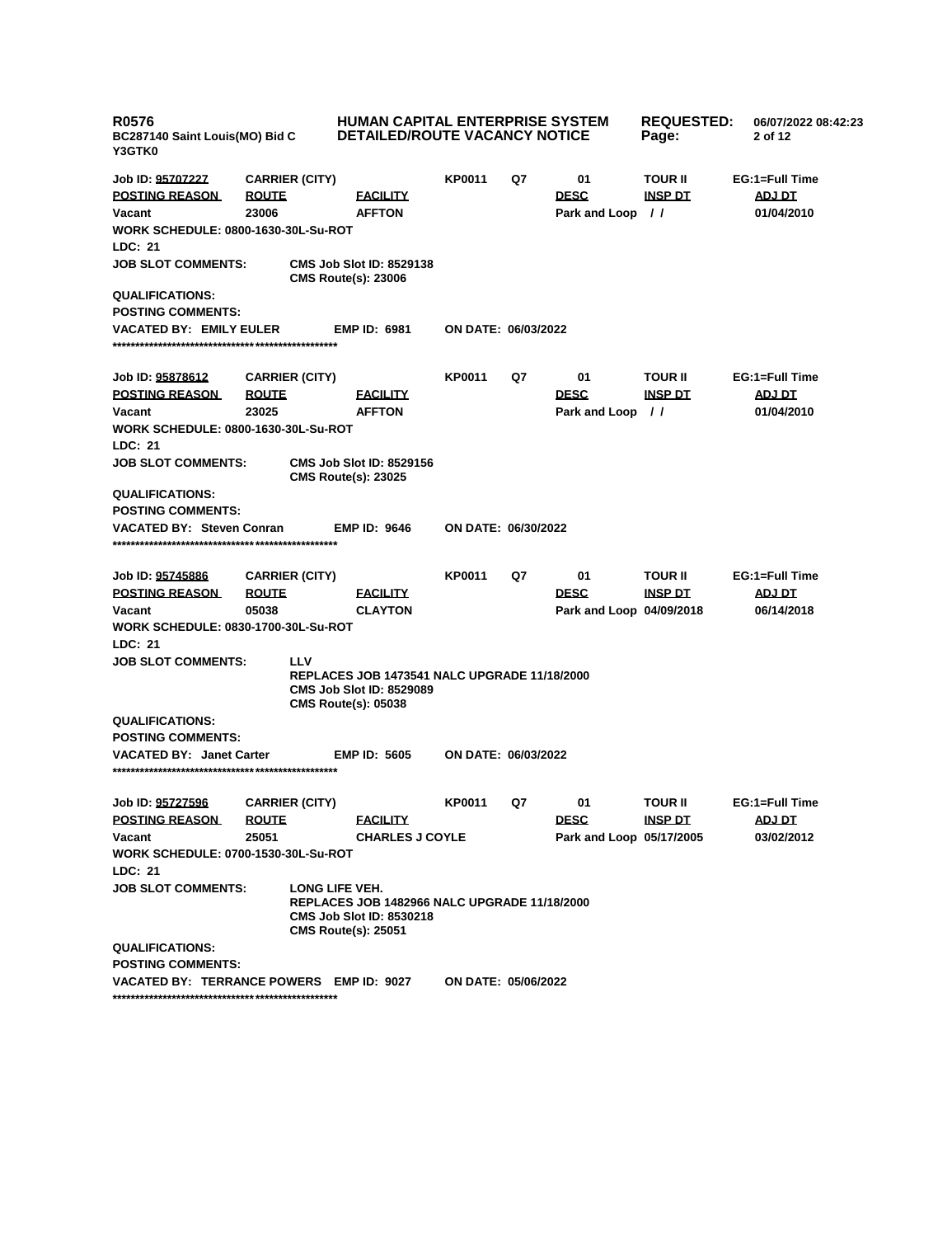| <b>R0576</b><br>BC287140 Saint Louis(MO) Bid C<br><b>Y3GTK0</b> |              |                       | <b>HUMAN CAPITAL ENTERPRISE SYSTEM</b><br><b>DETAILED/ROUTE VACANCY NOTICE</b>                                       |                            | <b>REQUESTED:</b><br>Page: | 06/07/2022 08:42:23<br>2 of 12 |                |                |
|-----------------------------------------------------------------|--------------|-----------------------|----------------------------------------------------------------------------------------------------------------------|----------------------------|----------------------------|--------------------------------|----------------|----------------|
| Job ID: 95707227                                                |              | <b>CARRIER (CITY)</b> |                                                                                                                      | <b>KP0011</b>              | Q7                         | 01                             | <b>TOUR II</b> | EG:1=Full Time |
| <b>POSTING REASON</b>                                           | <b>ROUTE</b> |                       | <b>FACILITY</b>                                                                                                      |                            |                            | <b>DESC</b>                    | <b>INSP DT</b> | ADJ DT         |
| Vacant                                                          | 23006        |                       | <b>AFFTON</b>                                                                                                        |                            |                            | Park and Loop //               |                | 01/04/2010     |
| WORK SCHEDULE: 0800-1630-30L-Su-ROT<br>LDC: 21                  |              |                       |                                                                                                                      |                            |                            |                                |                |                |
| <b>JOB SLOT COMMENTS:</b>                                       |              |                       | <b>CMS Job Slot ID: 8529138</b><br><b>CMS Route(s): 23006</b>                                                        |                            |                            |                                |                |                |
| <b>QUALIFICATIONS:</b>                                          |              |                       |                                                                                                                      |                            |                            |                                |                |                |
| <b>POSTING COMMENTS:</b>                                        |              |                       |                                                                                                                      |                            |                            |                                |                |                |
| <b>VACATED BY: EMILY EULER</b>                                  |              |                       | <b>EMP ID: 6981</b>                                                                                                  | ON DATE: 06/03/2022        |                            |                                |                |                |
| Job ID: 95878612                                                |              | <b>CARRIER (CITY)</b> |                                                                                                                      | <b>KP0011</b>              | Q7                         | 01                             | <b>TOUR II</b> | EG:1=Full Time |
| <b>POSTING REASON</b>                                           | <u>ROUTE</u> |                       | <b>FACILITY</b>                                                                                                      |                            |                            | <b>DESC</b>                    | <u>INSP DT</u> | <u>ADJ DT</u>  |
| Vacant                                                          | 23025        |                       | <b>AFFTON</b>                                                                                                        |                            |                            | Park and Loop //               |                | 01/04/2010     |
| WORK SCHEDULE: 0800-1630-30L-Su-ROT                             |              |                       |                                                                                                                      |                            |                            |                                |                |                |
| <b>LDC: 21</b>                                                  |              |                       |                                                                                                                      |                            |                            |                                |                |                |
| <b>JOB SLOT COMMENTS:</b>                                       |              |                       | <b>CMS Job Slot ID: 8529156</b><br><b>CMS Route(s): 23025</b>                                                        |                            |                            |                                |                |                |
| <b>QUALIFICATIONS:</b>                                          |              |                       |                                                                                                                      |                            |                            |                                |                |                |
| <b>POSTING COMMENTS:</b>                                        |              |                       |                                                                                                                      |                            |                            |                                |                |                |
| <b>VACATED BY: Steven Conran</b>                                |              |                       | <b>EMP ID: 9646</b>                                                                                                  | ON DATE: 06/30/2022        |                            |                                |                |                |
| Job ID: 95745886                                                |              | <b>CARRIER (CITY)</b> |                                                                                                                      | <b>KP0011</b>              | Q7                         | 01                             | <b>TOUR II</b> | EG:1=Full Time |
| <b>POSTING REASON</b>                                           | <b>ROUTE</b> |                       | <b>FACILITY</b>                                                                                                      |                            |                            | <b>DESC</b>                    | <b>INSP DT</b> | <b>ADJ DT</b>  |
| Vacant                                                          | 05038        |                       | <b>CLAYTON</b>                                                                                                       |                            |                            | Park and Loop 04/09/2018       |                | 06/14/2018     |
| WORK SCHEDULE: 0830-1700-30L-Su-ROT                             |              |                       |                                                                                                                      |                            |                            |                                |                |                |
| <b>LDC: 21</b>                                                  |              |                       |                                                                                                                      |                            |                            |                                |                |                |
| <b>JOB SLOT COMMENTS:</b>                                       |              | <b>LLV</b>            |                                                                                                                      |                            |                            |                                |                |                |
|                                                                 |              |                       | <b>REPLACES JOB 1473541 NALC UPGRADE 11/18/2000</b><br><b>CMS Job Slot ID: 8529089</b><br><b>CMS Route(s): 05038</b> |                            |                            |                                |                |                |
| <b>QUALIFICATIONS:</b>                                          |              |                       |                                                                                                                      |                            |                            |                                |                |                |
| <b>POSTING COMMENTS:</b>                                        |              |                       |                                                                                                                      |                            |                            |                                |                |                |
| VACATED BY: Janet Carter                                        |              |                       | <b>EMP ID: 5605</b>                                                                                                  | <b>ON DATE: 06/03/2022</b> |                            |                                |                |                |
| Job ID: <u>95727596</u>                                         |              | <b>CARRIER (CITY)</b> |                                                                                                                      | <b>KP0011</b>              | Q7                         | 01                             | <b>TOUR II</b> | EG:1=Full Time |
| <b>POSTING REASON</b>                                           | <u>ROUTE</u> |                       | <u>FACILITY</u>                                                                                                      |                            |                            | <b>DESC</b>                    | <u>INSP DT</u> | ADJ DT         |
| Vacant                                                          | 25051        |                       | <b>CHARLES J COYLE</b>                                                                                               |                            |                            | Park and Loop 05/17/2005       |                | 03/02/2012     |
| WORK SCHEDULE: 0700-1530-30L-Su-ROT                             |              |                       |                                                                                                                      |                            |                            |                                |                |                |
| LDC: 21                                                         |              |                       |                                                                                                                      |                            |                            |                                |                |                |
| <b>JOB SLOT COMMENTS:</b>                                       |              | LONG LIFE VEH.        | <b>REPLACES JOB 1482966 NALC UPGRADE 11/18/2000</b><br><b>CMS Job Slot ID: 8530218</b><br><b>CMS Route(s): 25051</b> |                            |                            |                                |                |                |
| <b>QUALIFICATIONS:</b>                                          |              |                       |                                                                                                                      |                            |                            |                                |                |                |
| <b>POSTING COMMENTS:</b>                                        |              |                       |                                                                                                                      |                            |                            |                                |                |                |
| VACATED BY: TERRANCE POWERS EMP ID: 9027                        |              |                       |                                                                                                                      | <b>ON DATE: 05/06/2022</b> |                            |                                |                |                |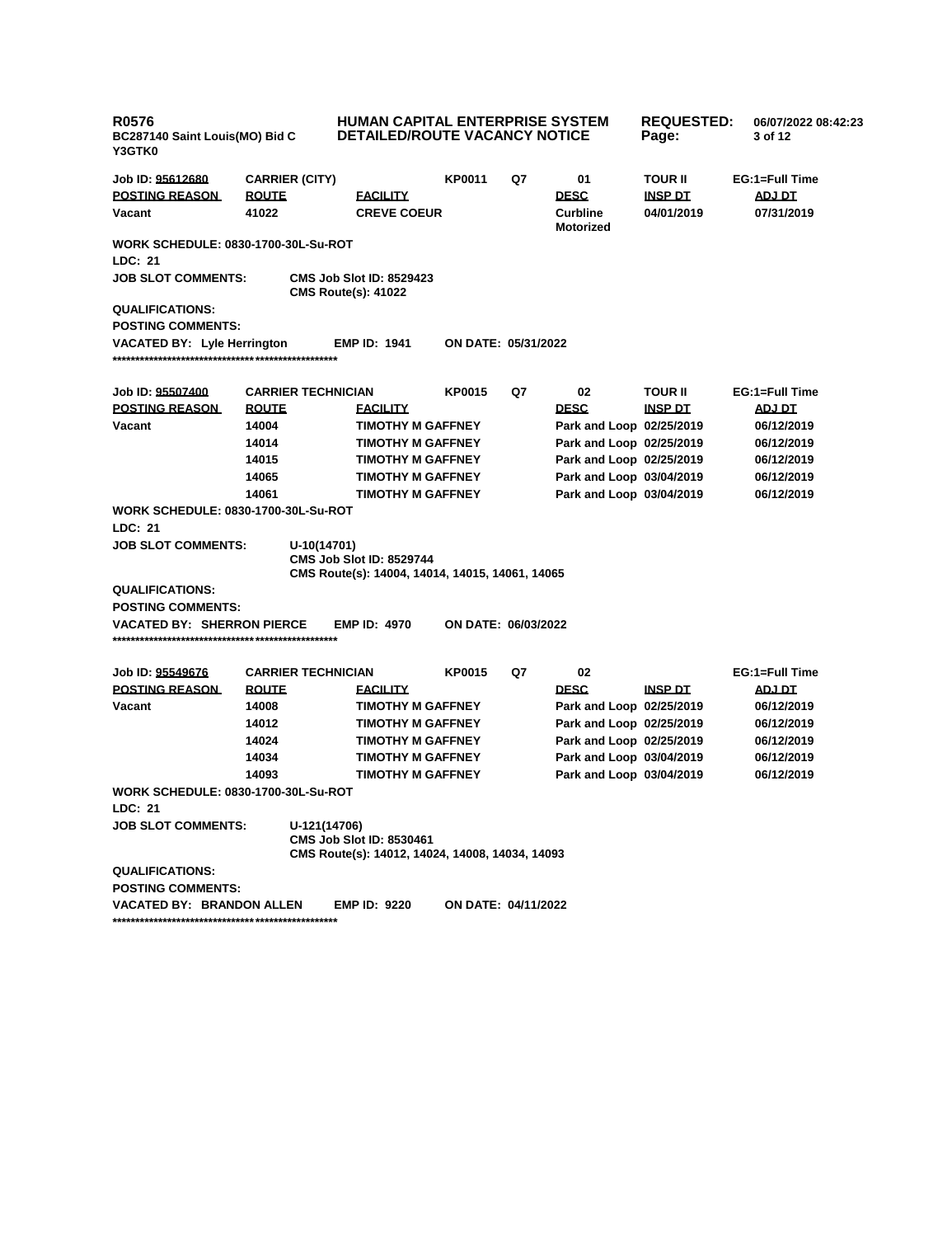| <b>R0576</b><br>BC287140 Saint Louis(MO) Bid C<br>Y3GTK0 |                           | <b>HUMAN CAPITAL ENTERPRISE SYSTEM</b><br>DETAILED/ROUTE VACANCY NOTICE            |                            |    |                              | <b>REQUESTED:</b><br>Page: | 06/07/2022 08:42:23<br>3 of 12 |  |
|----------------------------------------------------------|---------------------------|------------------------------------------------------------------------------------|----------------------------|----|------------------------------|----------------------------|--------------------------------|--|
| Job ID: <u>95612680</u>                                  | <b>CARRIER (CITY)</b>     |                                                                                    | <b>KP0011</b>              | Q7 | 01                           | TOUR II                    | EG:1=Full Time                 |  |
| <b>POSTING REASON</b>                                    | <b>ROUTE</b>              | <b>EACILITY</b>                                                                    |                            |    | <b>DESC</b>                  | <b>INSP DT</b>             | ADJ DT                         |  |
| Vacant                                                   | 41022                     | <b>CREVE COEUR</b>                                                                 |                            |    | <b>Curbline</b><br>Motorized | 04/01/2019                 | 07/31/2019                     |  |
| <b>WORK SCHEDULE: 0830-1700-30L-Su-ROT</b>               |                           |                                                                                    |                            |    |                              |                            |                                |  |
| LDC: 21                                                  |                           |                                                                                    |                            |    |                              |                            |                                |  |
| <b>JOB SLOT COMMENTS:</b>                                |                           | <b>CMS Job Slot ID: 8529423</b><br><b>CMS Route(s): 41022</b>                      |                            |    |                              |                            |                                |  |
| <b>QUALIFICATIONS:</b>                                   |                           |                                                                                    |                            |    |                              |                            |                                |  |
| <b>POSTING COMMENTS:</b>                                 |                           |                                                                                    |                            |    |                              |                            |                                |  |
| <b>VACATED BY: Lyle Herrington</b>                       |                           | <b>EMP ID: 1941</b>                                                                | <b>ON DATE: 05/31/2022</b> |    |                              |                            |                                |  |
|                                                          |                           |                                                                                    |                            |    |                              |                            |                                |  |
| Job ID: 95507400                                         | <b>CARRIER TECHNICIAN</b> |                                                                                    | <b>KP0015</b>              | Q7 | 02                           | <b>TOUR II</b>             | EG:1=Full Time                 |  |
| <b>POSTING REASON</b>                                    | <b>ROUTE</b>              | <b>FACILITY</b>                                                                    |                            |    | <b>DESC</b>                  | <b>INSP DT</b>             | <b>ADJ DT</b>                  |  |
| Vacant                                                   | 14004                     | <b>TIMOTHY M GAFFNEY</b>                                                           |                            |    | Park and Loop 02/25/2019     |                            | 06/12/2019                     |  |
|                                                          | 14014                     | <b>TIMOTHY M GAFFNEY</b>                                                           |                            |    | Park and Loop 02/25/2019     |                            | 06/12/2019                     |  |
|                                                          | 14015                     | <b>TIMOTHY M GAFFNEY</b>                                                           |                            |    | Park and Loop 02/25/2019     |                            | 06/12/2019                     |  |
|                                                          | 14065                     | <b>TIMOTHY M GAFFNEY</b>                                                           |                            |    | Park and Loop 03/04/2019     |                            | 06/12/2019                     |  |
|                                                          | 14061                     | <b>TIMOTHY M GAFFNEY</b>                                                           |                            |    | Park and Loop 03/04/2019     |                            | 06/12/2019                     |  |
| <b>WORK SCHEDULE: 0830-1700-30L-Su-ROT</b>               |                           |                                                                                    |                            |    |                              |                            |                                |  |
| <b>LDC: 21</b>                                           |                           |                                                                                    |                            |    |                              |                            |                                |  |
| <b>JOB SLOT COMMENTS:</b>                                | U-10(14701)               | <b>CMS Job Slot ID: 8529744</b><br>CMS Route(s): 14004, 14014, 14015, 14061, 14065 |                            |    |                              |                            |                                |  |
| <b>QUALIFICATIONS:</b>                                   |                           |                                                                                    |                            |    |                              |                            |                                |  |
| <b>POSTING COMMENTS:</b>                                 |                           |                                                                                    |                            |    |                              |                            |                                |  |
| VACATED BY: SHERRON PIERCE                               |                           | <b>EMP ID: 4970</b>                                                                | ON DATE: 06/03/2022        |    |                              |                            |                                |  |
|                                                          |                           |                                                                                    |                            |    |                              |                            |                                |  |
| Job ID: 95549676                                         | <b>CARRIER TECHNICIAN</b> |                                                                                    | <b>KP0015</b>              | Q7 | 02                           |                            | EG:1=Full Time                 |  |
| <b>POSTING REASON</b>                                    | <b>ROUTE</b>              | <b>FACILITY</b>                                                                    |                            |    | <b>DESC</b>                  | <u>INSP DT</u>             | <b>ADJ DT</b>                  |  |
| Vacant                                                   | 14008                     | <b>TIMOTHY M GAFFNEY</b>                                                           |                            |    | Park and Loop 02/25/2019     |                            | 06/12/2019                     |  |
|                                                          | 14012                     | <b>TIMOTHY M GAFFNEY</b>                                                           |                            |    | Park and Loop 02/25/2019     |                            | 06/12/2019                     |  |
|                                                          | 14024                     | <b>TIMOTHY M GAFFNEY</b>                                                           |                            |    | Park and Loop 02/25/2019     |                            | 06/12/2019                     |  |
|                                                          | 14034                     | <b>TIMOTHY M GAFFNEY</b>                                                           |                            |    | Park and Loop 03/04/2019     |                            | 06/12/2019                     |  |
|                                                          | 14093                     | <b>TIMOTHY M GAFFNEY</b>                                                           |                            |    | Park and Loop 03/04/2019     |                            | 06/12/2019                     |  |
| WORK SCHEDULE: 0830-1700-30L-Su-ROT<br>LDC: 21           |                           |                                                                                    |                            |    |                              |                            |                                |  |
| <b>JOB SLOT COMMENTS:</b>                                | U-121(14706)              |                                                                                    |                            |    |                              |                            |                                |  |
|                                                          |                           | <b>CMS Job Slot ID: 8530461</b><br>CMS Route(s): 14012, 14024, 14008, 14034, 14093 |                            |    |                              |                            |                                |  |
| <b>QUALIFICATIONS:</b>                                   |                           |                                                                                    |                            |    |                              |                            |                                |  |
| <b>POSTING COMMENTS:</b>                                 |                           |                                                                                    |                            |    |                              |                            |                                |  |
| VACATED BY: BRANDON ALLEN                                |                           | <b>EMP ID: 9220</b>                                                                | ON DATE: 04/11/2022        |    |                              |                            |                                |  |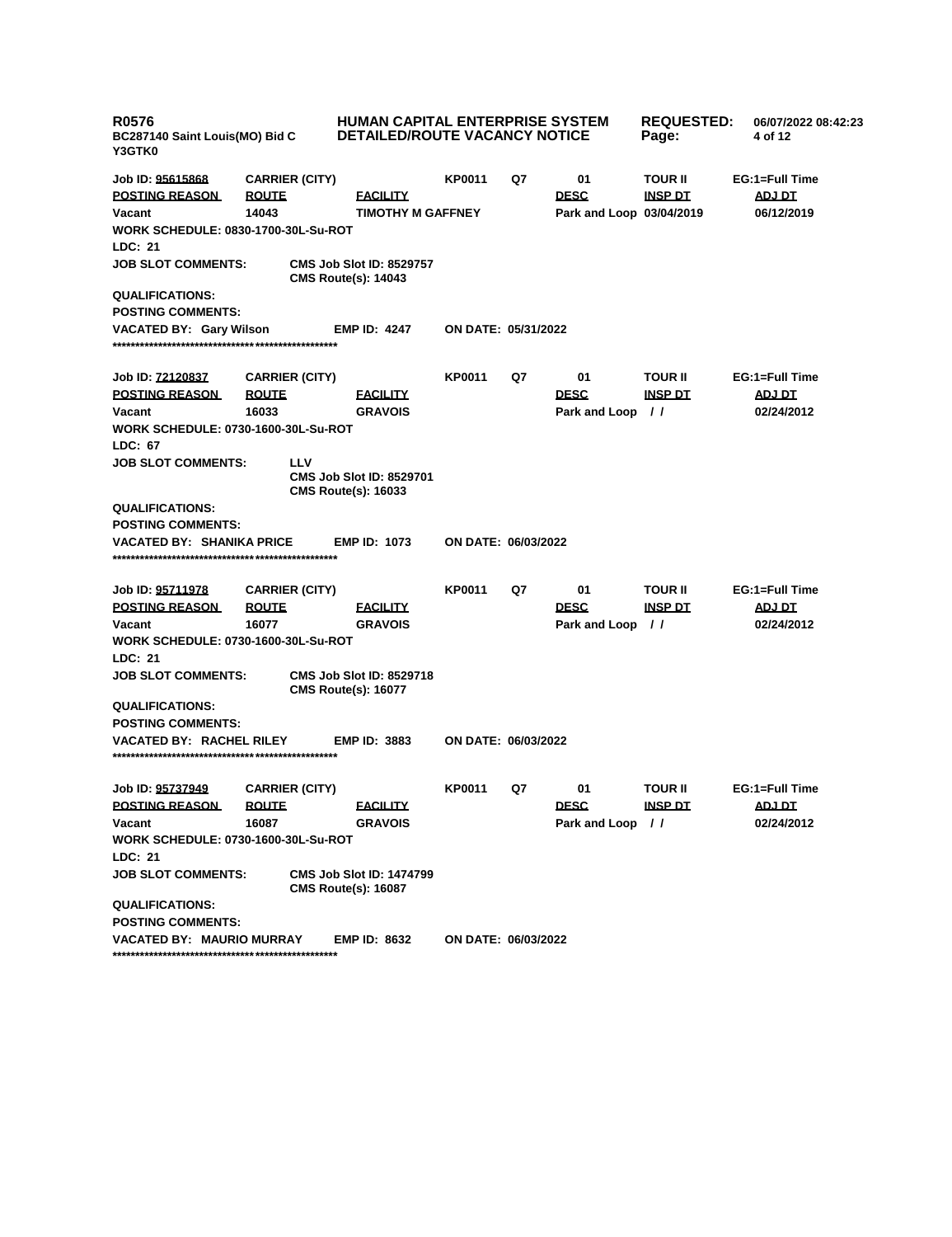| <b>R0576</b><br>BC287140 Saint Louis(MO) Bid C<br>Y3GTK0 |                                       | <b>HUMAN CAPITAL ENTERPRISE SYSTEM</b><br><b>DETAILED/ROUTE VACANCY NOTICE</b> |                     | <b>REQUESTED:</b><br>Page: | 06/07/2022 08:42:23<br>4 of 12 |                                  |                                 |
|----------------------------------------------------------|---------------------------------------|--------------------------------------------------------------------------------|---------------------|----------------------------|--------------------------------|----------------------------------|---------------------------------|
| Job ID: 95615868<br><b>POSTING REASON</b>                | <b>CARRIER (CITY)</b><br><b>ROUTE</b> | <b>FACILITY</b>                                                                | <b>KP0011</b>       | Q7                         | 01<br><b>DESC</b>              | <b>TOUR II</b><br><b>INSP DT</b> | EG:1=Full Time<br><b>ADJ DT</b> |
| Vacant<br><b>WORK SCHEDULE: 0830-1700-30L-Su-ROT</b>     | 14043                                 | <b>TIMOTHY M GAFFNEY</b>                                                       |                     |                            | Park and Loop 03/04/2019       |                                  | 06/12/2019                      |
| LDC: 21                                                  |                                       |                                                                                |                     |                            |                                |                                  |                                 |
| <b>JOB SLOT COMMENTS:</b>                                |                                       | <b>CMS Job Slot ID: 8529757</b><br><b>CMS Route(s): 14043</b>                  |                     |                            |                                |                                  |                                 |
| <b>QUALIFICATIONS:</b>                                   |                                       |                                                                                |                     |                            |                                |                                  |                                 |
| <b>POSTING COMMENTS:</b>                                 |                                       |                                                                                |                     |                            |                                |                                  |                                 |
| <b>VACATED BY: Gary Wilson</b>                           |                                       | <b>EMP ID: 4247</b>                                                            | ON DATE: 05/31/2022 |                            |                                |                                  |                                 |
| Job ID: 72120837                                         | <b>CARRIER (CITY)</b>                 |                                                                                | <b>KP0011</b>       | Q7                         | 01                             | <b>TOUR II</b>                   | EG:1=Full Time                  |
| <b>POSTING REASON</b>                                    | <u>ROUTE</u>                          | <b>FACILITY</b>                                                                |                     |                            | <b>DESC</b>                    | <u>INSP DT</u>                   | <u>ADJ DT</u>                   |
| Vacant                                                   | 16033                                 | <b>GRAVOIS</b>                                                                 |                     |                            | Park and Loop                  | $\prime$                         | 02/24/2012                      |
| <b>WORK SCHEDULE: 0730-1600-30L-Su-ROT</b>               |                                       |                                                                                |                     |                            |                                |                                  |                                 |
| LDC: 67                                                  |                                       |                                                                                |                     |                            |                                |                                  |                                 |
| <b>JOB SLOT COMMENTS:</b>                                | LLV                                   | <b>CMS Job Slot ID: 8529701</b><br><b>CMS Route(s): 16033</b>                  |                     |                            |                                |                                  |                                 |
| <b>QUALIFICATIONS:</b><br><b>POSTING COMMENTS:</b>       |                                       |                                                                                |                     |                            |                                |                                  |                                 |
| <b>VACATED BY: SHANIKA PRICE</b>                         |                                       | <b>EMP ID: 1073</b>                                                            | ON DATE: 06/03/2022 |                            |                                |                                  |                                 |
| Job ID: 95711978                                         | <b>CARRIER (CITY)</b>                 |                                                                                | KP0011              | Q7                         | 01                             | <b>TOUR II</b>                   | EG:1=Full Time                  |
| <b>POSTING REASON</b><br>Vacant                          | <b>ROUTE</b><br>16077                 | <b>FACILITY</b><br><b>GRAVOIS</b>                                              |                     |                            | <b>DESC</b>                    | <b>INSP DT</b><br>$\prime$       | ADJ DT<br>02/24/2012            |
| <b>WORK SCHEDULE: 0730-1600-30L-Su-ROT</b>               |                                       |                                                                                |                     |                            | Park and Loop                  |                                  |                                 |
| LDC: 21                                                  |                                       |                                                                                |                     |                            |                                |                                  |                                 |
| <b>JOB SLOT COMMENTS:</b>                                |                                       | <b>CMS Job Slot ID: 8529718</b><br><b>CMS Route(s): 16077</b>                  |                     |                            |                                |                                  |                                 |
| <b>QUALIFICATIONS:</b>                                   |                                       |                                                                                |                     |                            |                                |                                  |                                 |
| <b>POSTING COMMENTS:</b>                                 |                                       |                                                                                |                     |                            |                                |                                  |                                 |
| <b>VACATED BY: RACHEL RILEY</b>                          |                                       | <b>EMP ID: 3883</b>                                                            | ON DATE: 06/03/2022 |                            |                                |                                  |                                 |
| Job ID: 95737949                                         | <b>CARRIER (CITY)</b>                 |                                                                                | KP0011              | Q7                         | 01                             | <b>TOUR II</b>                   | EG:1=Full Time                  |
| <b>POSTING REASON</b>                                    | <b>ROUTE</b>                          | <b>FACILITY</b>                                                                |                     |                            | <b>DESC</b>                    | <b>INSP DT</b>                   | <u>ADJ DT</u>                   |
| Vacant                                                   | 16087                                 | <b>GRAVOIS</b>                                                                 |                     |                            | Park and Loop //               |                                  | 02/24/2012                      |
| <b>WORK SCHEDULE: 0730-1600-30L-Su-ROT</b>               |                                       |                                                                                |                     |                            |                                |                                  |                                 |
| LDC: 21                                                  |                                       |                                                                                |                     |                            |                                |                                  |                                 |
| <b>JOB SLOT COMMENTS:</b>                                |                                       | <b>CMS Job Slot ID: 1474799</b><br><b>CMS Route(s): 16087</b>                  |                     |                            |                                |                                  |                                 |
| <b>QUALIFICATIONS:</b><br><b>POSTING COMMENTS:</b>       |                                       |                                                                                |                     |                            |                                |                                  |                                 |
| <b>VACATED BY: MAURIO MURRAY</b>                         |                                       | <b>EMP ID: 8632</b>                                                            | ON DATE: 06/03/2022 |                            |                                |                                  |                                 |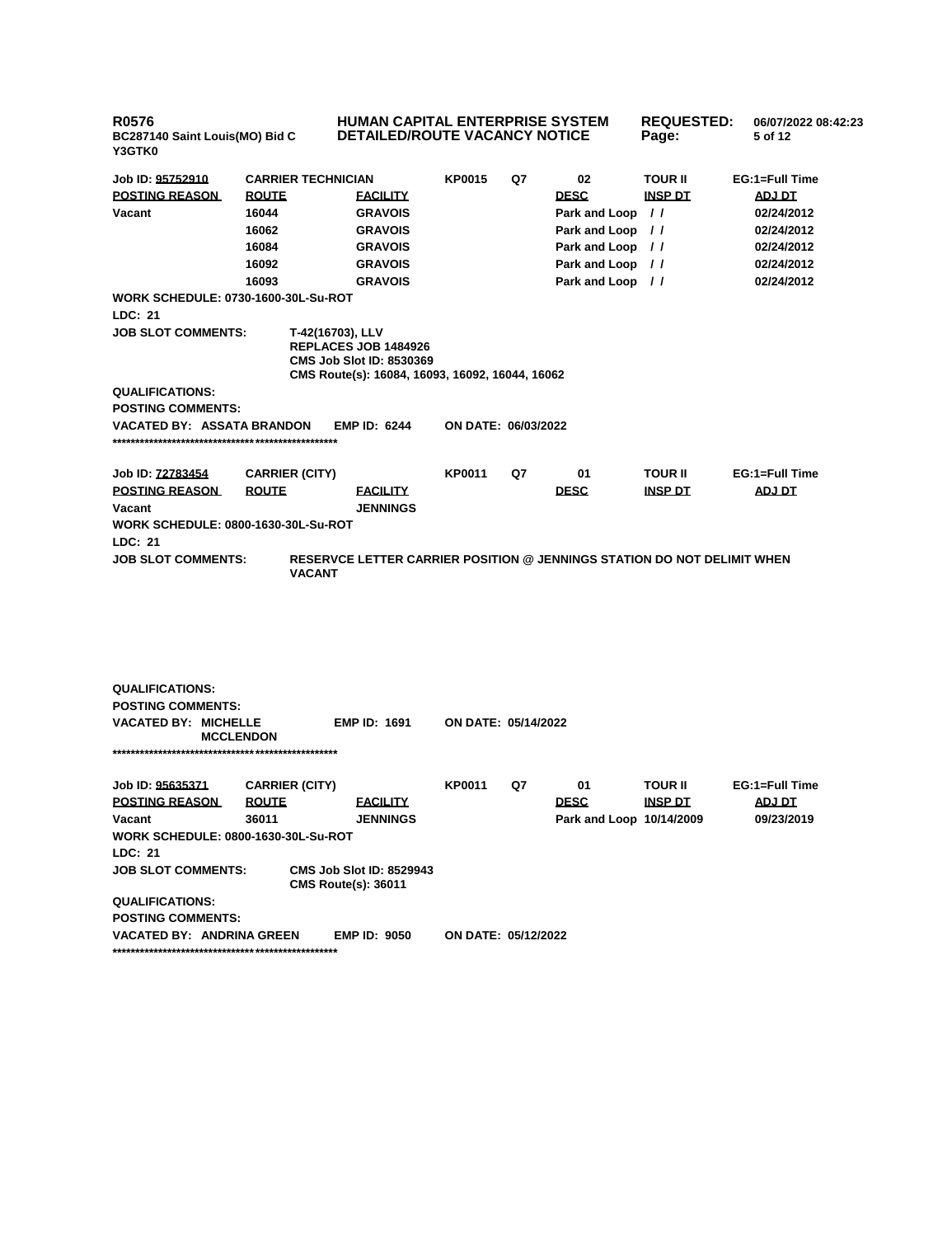| R0576<br>BC287140 Saint Louis(MO) Bid C<br>Y3GTK0 |                           | <b>HUMAN CAPITAL ENTERPRISE SYSTEM</b><br><b>DETAILED/ROUTE VACANCY NOTICE</b>                                                 |                     |    | <b>REQUESTED:</b><br>Page: | 06/07/2022 08:42:23<br>5 of 12 |                |
|---------------------------------------------------|---------------------------|--------------------------------------------------------------------------------------------------------------------------------|---------------------|----|----------------------------|--------------------------------|----------------|
| Job ID: 95752910                                  | <b>CARRIER TECHNICIAN</b> |                                                                                                                                | <b>KP0015</b>       | Q7 | 02                         | <b>TOUR II</b>                 | EG:1=Full Time |
| <b>POSTING REASON</b>                             | <b>ROUTE</b>              | <b>EACILITY</b>                                                                                                                |                     |    | <b>DESC</b>                | <b>INSP DT</b>                 | <b>ADJ DT</b>  |
| Vacant                                            | 16044                     | <b>GRAVOIS</b>                                                                                                                 |                     |    | Park and Loop //           |                                | 02/24/2012     |
|                                                   | 16062                     | <b>GRAVOIS</b>                                                                                                                 |                     |    | Park and Loop //           |                                | 02/24/2012     |
|                                                   | 16084                     | <b>GRAVOIS</b>                                                                                                                 |                     |    | Park and Loop //           |                                | 02/24/2012     |
|                                                   | 16092                     | <b>GRAVOIS</b>                                                                                                                 |                     |    | Park and Loop //           |                                | 02/24/2012     |
|                                                   | 16093                     | <b>GRAVOIS</b>                                                                                                                 |                     |    | Park and Loop //           |                                | 02/24/2012     |
| <b>WORK SCHEDULE: 0730-1600-30L-Su-ROT</b>        |                           |                                                                                                                                |                     |    |                            |                                |                |
| LDC: 21                                           |                           |                                                                                                                                |                     |    |                            |                                |                |
| <b>JOB SLOT COMMENTS:</b>                         |                           | T-42(16703), LLV<br>REPLACES JOB 1484926<br><b>CMS Job Slot ID: 8530369</b><br>CMS Route(s): 16084, 16093, 16092, 16044, 16062 |                     |    |                            |                                |                |
| <b>QUALIFICATIONS:</b>                            |                           |                                                                                                                                |                     |    |                            |                                |                |
| <b>POSTING COMMENTS:</b>                          |                           |                                                                                                                                |                     |    |                            |                                |                |
| <b>VACATED BY: ASSATA BRANDON</b>                 |                           | <b>EMP ID: 6244</b>                                                                                                            | ON DATE: 06/03/2022 |    |                            |                                |                |
| Job ID: 72783454                                  | <b>CARRIER (CITY)</b>     |                                                                                                                                | <b>KP0011</b>       | Q7 | 01                         | <b>TOUR II</b>                 | EG:1=Full Time |
| <b>POSTING REASON</b>                             | <b>ROUTE</b>              | <b>FACILITY</b>                                                                                                                |                     |    | <b>DESC</b>                | <b>INSP DT</b>                 | ADJ DT         |
| Vacant                                            |                           | <b>JENNINGS</b>                                                                                                                |                     |    |                            |                                |                |
| <b>WORK SCHEDULE: 0800-1630-30L-Su-ROT</b>        |                           |                                                                                                                                |                     |    |                            |                                |                |
| <b>LDC: 21</b>                                    |                           |                                                                                                                                |                     |    |                            |                                |                |
| JOB SLOT COMMENTS:                                | <b>VACANT</b>             | <b>RESERVCE LETTER CARRIER POSITION @ JENNINGS STATION DO NOT DELIMIT WHEN</b>                                                 |                     |    |                            |                                |                |
|                                                   |                           |                                                                                                                                |                     |    |                            |                                |                |
| <b>QUALIFICATIONS:</b>                            |                           |                                                                                                                                |                     |    |                            |                                |                |
| <b>POSTING COMMENTS:</b>                          |                           |                                                                                                                                |                     |    |                            |                                |                |

**VACATED BY: MICHELLE MCCLENDON EMP ID: 1691 ON DATE: 05/14/2022 \*\*\*\*\*\*\*\*\*\*\*\*\*\*\*\*\*\*\*\*\*\*\*\*\*\*\*\*\*\*\*\*\*\*\*\*\*\*\*\*\*\*\*\*\*\*\*\*\* Job ID: 95635371 CARRIER (CITY) KP0011 Q7 01 TOUR II EG:1=Full Time POSTING REASON ROUTE FACILITY DESC INSP DT ADJ DT Vacant 36011 JENNINGS Park and Loop 10/14/2009 09/23/2019 WORK SCHEDULE: 0800-1630-30L-Su-ROT LDC: 21 JOB SLOT COMMENTS: CMS Job Slot ID: 8529943 CMS Route(s): 36011 QUALIFICATIONS: POSTING COMMENTS:**

**VACATED BY: ANDRINA GREEN EMP ID: 9050 ON DATE: 05/12/2022 \*\*\*\*\*\*\*\*\*\*\*\*\*\*\*\*\*\*\*\*\*\*\*\*\*\*\*\*\*\*\*\*\*\*\*\*\*\*\*\*\*\*\*\*\*\*\*\*\***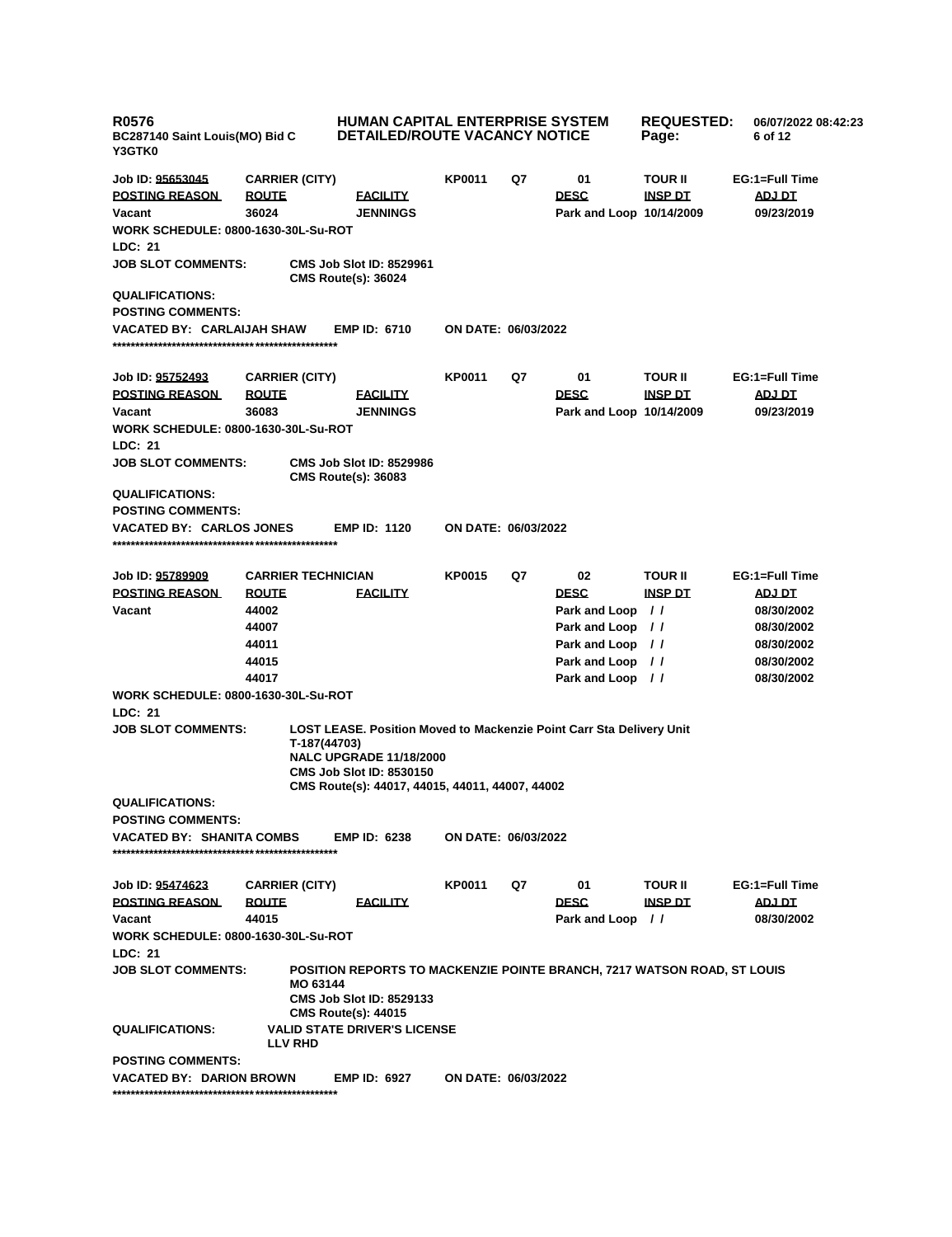| <b>R0576</b><br>BC287140 Saint Louis(MO) Bid C<br><b>Y3GTK0</b> |                           |              |                                                                   | <b>HUMAN CAPITAL ENTERPRISE SYSTEM</b><br><b>DETAILED/ROUTE VACANCY NOTICE</b> | <b>REQUESTED:</b><br>Page: | 06/07/2022 08:42:23<br>6 of 12                                              |                |                |
|-----------------------------------------------------------------|---------------------------|--------------|-------------------------------------------------------------------|--------------------------------------------------------------------------------|----------------------------|-----------------------------------------------------------------------------|----------------|----------------|
| Job ID: 95653045                                                | <b>CARRIER (CITY)</b>     |              |                                                                   | <b>KP0011</b>                                                                  | Q7                         | 01                                                                          | <b>TOUR II</b> | EG:1=Full Time |
| <b>POSTING REASON</b>                                           | <b>ROUTE</b>              |              | <b>FACILITY</b>                                                   |                                                                                |                            | <b>DESC</b>                                                                 | <b>INSP DT</b> | ADJ DT         |
| Vacant                                                          | 36024                     |              | <b>JENNINGS</b>                                                   |                                                                                |                            | Park and Loop 10/14/2009                                                    |                | 09/23/2019     |
| WORK SCHEDULE: 0800-1630-30L-Su-ROT                             |                           |              |                                                                   |                                                                                |                            |                                                                             |                |                |
| <b>LDC: 21</b>                                                  |                           |              |                                                                   |                                                                                |                            |                                                                             |                |                |
| <b>JOB SLOT COMMENTS:</b>                                       |                           |              | <b>CMS Job Slot ID: 8529961</b><br><b>CMS Route(s): 36024</b>     |                                                                                |                            |                                                                             |                |                |
| <b>QUALIFICATIONS:</b>                                          |                           |              |                                                                   |                                                                                |                            |                                                                             |                |                |
| <b>POSTING COMMENTS:</b>                                        |                           |              |                                                                   |                                                                                |                            |                                                                             |                |                |
| VACATED BY: CARLAIJAH SHAW                                      |                           |              | <b>EMP ID: 6710</b>                                               | ON DATE: 06/03/2022                                                            |                            |                                                                             |                |                |
| Job ID: <u>95752493</u>                                         | <b>CARRIER (CITY)</b>     |              |                                                                   | <b>KP0011</b>                                                                  | Q7                         | 01                                                                          | <b>TOUR II</b> | EG:1=Full Time |
| <b>POSTING REASON</b>                                           | <b>ROUTE</b>              |              | <b>FACILITY</b>                                                   |                                                                                |                            | <b>DESC</b>                                                                 | <u>INSP DT</u> | <b>ADJ DT</b>  |
| Vacant                                                          | 36083                     |              | <b>JENNINGS</b>                                                   |                                                                                |                            | Park and Loop 10/14/2009                                                    |                | 09/23/2019     |
| WORK SCHEDULE: 0800-1630-30L-Su-ROT                             |                           |              |                                                                   |                                                                                |                            |                                                                             |                |                |
| <b>LDC: 21</b>                                                  |                           |              |                                                                   |                                                                                |                            |                                                                             |                |                |
| <b>JOB SLOT COMMENTS:</b>                                       |                           |              | <b>CMS Job Slot ID: 8529986</b><br><b>CMS Route(s): 36083</b>     |                                                                                |                            |                                                                             |                |                |
| <b>QUALIFICATIONS:</b>                                          |                           |              |                                                                   |                                                                                |                            |                                                                             |                |                |
| <b>POSTING COMMENTS:</b>                                        |                           |              |                                                                   |                                                                                |                            |                                                                             |                |                |
| VACATED BY: CARLOS JONES                                        |                           |              | <b>EMP ID: 1120</b>                                               | ON DATE: 06/03/2022                                                            |                            |                                                                             |                |                |
|                                                                 |                           |              |                                                                   |                                                                                |                            |                                                                             |                |                |
| Job ID: <u>95789909</u>                                         | <b>CARRIER TECHNICIAN</b> |              |                                                                   | <b>KP0015</b>                                                                  | Q7                         | 02                                                                          | <b>TOUR II</b> | EG:1=Full Time |
| <b>POSTING REASON</b>                                           | <b>ROUTE</b>              |              | <b>FACILITY</b>                                                   |                                                                                |                            | <b>DESC</b>                                                                 | <b>INSP DT</b> | <b>ADJ DT</b>  |
| Vacant                                                          | 44002                     |              |                                                                   |                                                                                |                            | Park and Loop //                                                            |                | 08/30/2002     |
|                                                                 | 44007                     |              |                                                                   |                                                                                |                            | Park and Loop //                                                            |                | 08/30/2002     |
|                                                                 | 44011                     |              |                                                                   |                                                                                |                            | Park and Loop //                                                            |                | 08/30/2002     |
|                                                                 | 44015                     |              |                                                                   |                                                                                |                            | Park and Loop //                                                            |                | 08/30/2002     |
|                                                                 | 44017                     |              |                                                                   |                                                                                |                            | Park and Loop //                                                            |                | 08/30/2002     |
| WORK SCHEDULE: 0800-1630-30L-Su-ROT                             |                           |              |                                                                   |                                                                                |                            |                                                                             |                |                |
| LDC: 21                                                         |                           |              |                                                                   |                                                                                |                            |                                                                             |                |                |
| <b>JOB SLOT COMMENTS:</b>                                       |                           | T-187(44703) | <b>NALC UPGRADE 11/18/2000</b><br><b>CMS Job Slot ID: 8530150</b> |                                                                                |                            | <b>LOST LEASE. Position Moved to Mackenzie Point Carr Sta Delivery Unit</b> |                |                |
|                                                                 |                           |              |                                                                   | CMS Route(s): 44017, 44015, 44011, 44007, 44002                                |                            |                                                                             |                |                |
| <b>QUALIFICATIONS:</b>                                          |                           |              |                                                                   |                                                                                |                            |                                                                             |                |                |
| POSTING COMMENTS:                                               |                           |              |                                                                   |                                                                                |                            |                                                                             |                |                |
| VACATED BY: SHANITA COMBS                                       |                           |              | <b>EMP ID: 6238</b>                                               | ON DATE: 06/03/2022                                                            |                            |                                                                             |                |                |
| Job ID: <u>95474623</u>                                         | <b>CARRIER (CITY)</b>     |              |                                                                   | KP0011                                                                         | Q7                         | 01                                                                          | <b>TOUR II</b> | EG:1=Full Time |
| <b>POSTING REASON</b>                                           | <b>ROUTE</b>              |              | <b>FACILITY</b>                                                   |                                                                                |                            | <b>DESC</b>                                                                 | <u>INSP DT</u> | <u>ADJ DT</u>  |
| Vacant                                                          | 44015                     |              |                                                                   |                                                                                |                            | Park and Loop //                                                            |                | 08/30/2002     |
| WORK SCHEDULE: 0800-1630-30L-Su-ROT                             |                           |              |                                                                   |                                                                                |                            |                                                                             |                |                |
| <b>LDC: 21</b>                                                  |                           |              |                                                                   |                                                                                |                            |                                                                             |                |                |
| <b>JOB SLOT COMMENTS:</b>                                       |                           | MO 63144     | <b>CMS Job Slot ID: 8529133</b><br><b>CMS Route(s): 44015</b>     |                                                                                |                            | POSITION REPORTS TO MACKENZIE POINTE BRANCH, 7217 WATSON ROAD, ST LOUIS     |                |                |
| <b>QUALIFICATIONS:</b>                                          | <b>LLV RHD</b>            |              | <b>VALID STATE DRIVER'S LICENSE</b>                               |                                                                                |                            |                                                                             |                |                |
| <b>POSTING COMMENTS:</b>                                        |                           |              |                                                                   |                                                                                |                            |                                                                             |                |                |
| VACATED BY: DARION BROWN                                        |                           |              | <b>EMP ID: 6927</b>                                               | ON DATE: 06/03/2022                                                            |                            |                                                                             |                |                |
|                                                                 |                           |              |                                                                   |                                                                                |                            |                                                                             |                |                |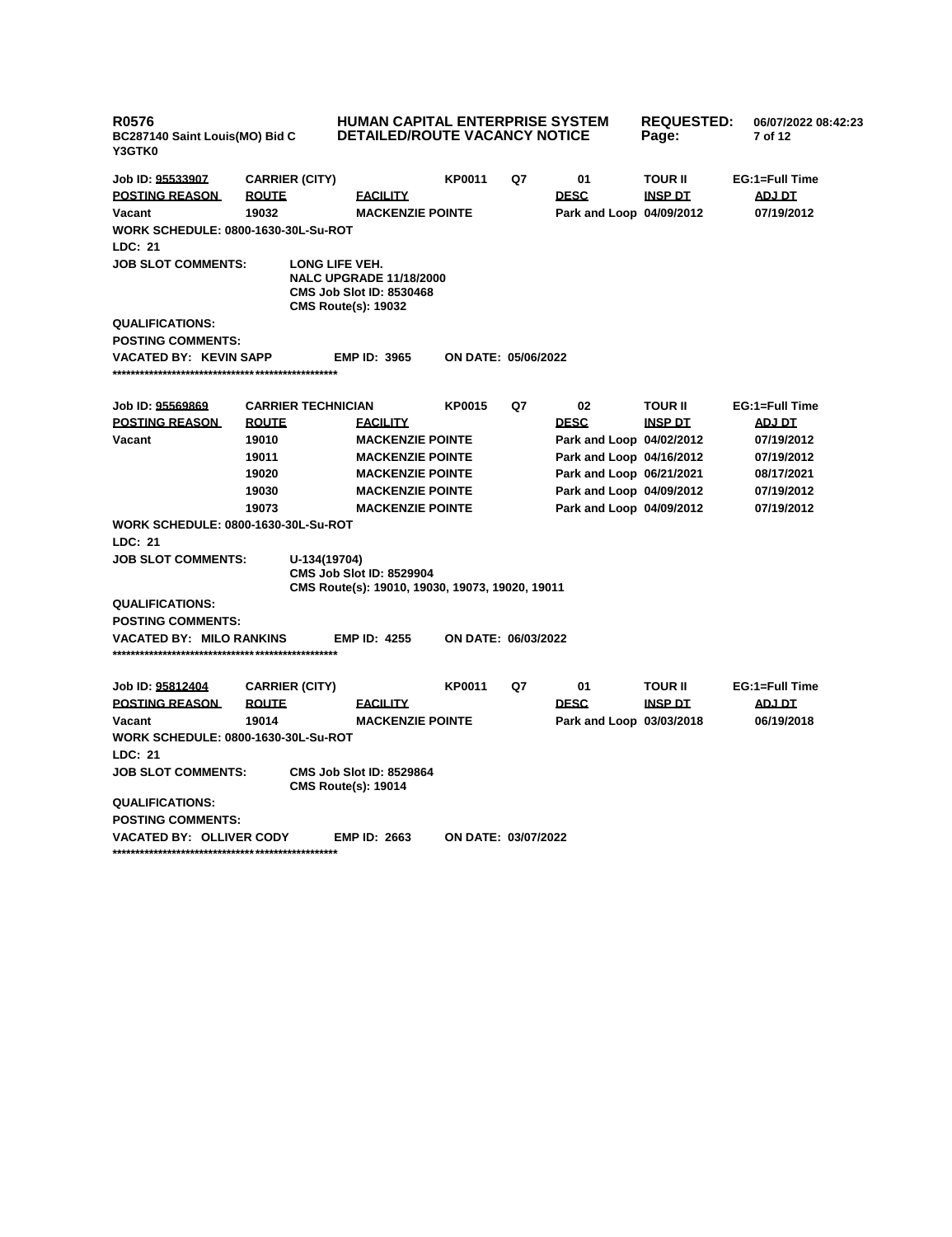| <b>R0576</b><br>BC287140 Saint Louis(MO) Bid C<br>Y3GTK0 |                           | HUMAN CAPITAL ENTERPRISE SYSTEM<br><b>DETAILED/ROUTE VACANCY NOTICE</b>                                           |                            | <b>REQUESTED:</b><br>Page: | 06/07/2022 08:42:23<br>7 of 12 |                |                |
|----------------------------------------------------------|---------------------------|-------------------------------------------------------------------------------------------------------------------|----------------------------|----------------------------|--------------------------------|----------------|----------------|
| Job ID: 95533907                                         | <b>CARRIER (CITY)</b>     |                                                                                                                   | <b>KP0011</b>              | Q7                         | 01                             | <b>TOUR II</b> | EG:1=Full Time |
| <b>POSTING REASON</b>                                    | <b>ROUTE</b>              | <b>FACILITY</b>                                                                                                   |                            |                            | <b>DESC</b>                    | <b>INSP DT</b> | ADJ DT         |
| Vacant                                                   | 19032                     | <b>MACKENZIE POINTE</b>                                                                                           |                            |                            | Park and Loop 04/09/2012       |                | 07/19/2012     |
| <b>WORK SCHEDULE: 0800-1630-30L-Su-ROT</b>               |                           |                                                                                                                   |                            |                            |                                |                |                |
| LDC: 21                                                  |                           |                                                                                                                   |                            |                            |                                |                |                |
| <b>JOB SLOT COMMENTS:</b>                                |                           | LONG LIFE VEH.<br><b>NALC UPGRADE 11/18/2000</b><br><b>CMS Job Slot ID: 8530468</b><br><b>CMS Route(s): 19032</b> |                            |                            |                                |                |                |
| <b>QUALIFICATIONS:</b>                                   |                           |                                                                                                                   |                            |                            |                                |                |                |
| <b>POSTING COMMENTS:</b>                                 |                           |                                                                                                                   |                            |                            |                                |                |                |
| VACATED BY: KEVIN SAPP                                   |                           | <b>EMP ID: 3965</b>                                                                                               | <b>ON DATE: 05/06/2022</b> |                            |                                |                |                |
| Job ID: 95569869                                         | <b>CARRIER TECHNICIAN</b> |                                                                                                                   | <b>KP0015</b>              | Q7                         | 02                             | <b>TOUR II</b> | EG:1=Full Time |
| <b>POSTING REASON</b>                                    | <b>ROUTE</b>              | <b>FACILITY</b>                                                                                                   |                            |                            | <b>DESC</b>                    | <b>INSP DT</b> | <b>ADJ DT</b>  |
| Vacant                                                   | 19010                     | <b>MACKENZIE POINTE</b>                                                                                           |                            |                            | Park and Loop 04/02/2012       |                | 07/19/2012     |
|                                                          | 19011                     | <b>MACKENZIE POINTE</b>                                                                                           |                            |                            | Park and Loop 04/16/2012       |                | 07/19/2012     |
|                                                          | 19020                     | <b>MACKENZIE POINTE</b>                                                                                           |                            |                            | Park and Loop 06/21/2021       |                | 08/17/2021     |
|                                                          | 19030                     | <b>MACKENZIE POINTE</b>                                                                                           |                            |                            | Park and Loop 04/09/2012       |                | 07/19/2012     |
|                                                          | <b>MACKENZIE POINTE</b>   |                                                                                                                   |                            | Park and Loop 04/09/2012   |                                | 07/19/2012     |                |
| <b>WORK SCHEDULE: 0800-1630-30L-Su-ROT</b>               |                           |                                                                                                                   |                            |                            |                                |                |                |
| LDC: 21                                                  |                           |                                                                                                                   |                            |                            |                                |                |                |
| <b>JOB SLOT COMMENTS:</b>                                | U-134(19704)              | <b>CMS Job Slot ID: 8529904</b><br>CMS Route(s): 19010, 19030, 19073, 19020, 19011                                |                            |                            |                                |                |                |
| <b>QUALIFICATIONS:</b>                                   |                           |                                                                                                                   |                            |                            |                                |                |                |
| <b>POSTING COMMENTS:</b>                                 |                           |                                                                                                                   |                            |                            |                                |                |                |
| <b>VACATED BY: MILO RANKINS</b>                          |                           | <b>EMP ID: 4255</b>                                                                                               | ON DATE: 06/03/2022        |                            |                                |                |                |
| Job ID: <u>95812404</u>                                  | <b>CARRIER (CITY)</b>     |                                                                                                                   | <b>KP0011</b>              | Q7                         | 01                             | TOUR II        | EG:1=Full Time |
| <b>POSTING REASON</b>                                    | <b>ROUTE</b>              | <b>FACILITY</b>                                                                                                   |                            |                            | <b>DESC</b>                    | <b>INSP DT</b> | <b>ADJ DT</b>  |
| Vacant                                                   | 19014                     | <b>MACKENZIE POINTE</b>                                                                                           |                            |                            | Park and Loop 03/03/2018       |                | 06/19/2018     |
| <b>WORK SCHEDULE: 0800-1630-30L-Su-ROT</b>               |                           |                                                                                                                   |                            |                            |                                |                |                |
| LDC: 21                                                  |                           |                                                                                                                   |                            |                            |                                |                |                |
| <b>JOB SLOT COMMENTS:</b>                                |                           | <b>CMS Job Slot ID: 8529864</b><br><b>CMS Route(s): 19014</b>                                                     |                            |                            |                                |                |                |
| <b>QUALIFICATIONS:</b>                                   |                           |                                                                                                                   |                            |                            |                                |                |                |
| <b>POSTING COMMENTS:</b>                                 |                           |                                                                                                                   |                            |                            |                                |                |                |
| <b>VACATED BY: OLLIVER CODY</b>                          |                           | <b>EMP ID: 2663</b>                                                                                               | ON DATE: 03/07/2022        |                            |                                |                |                |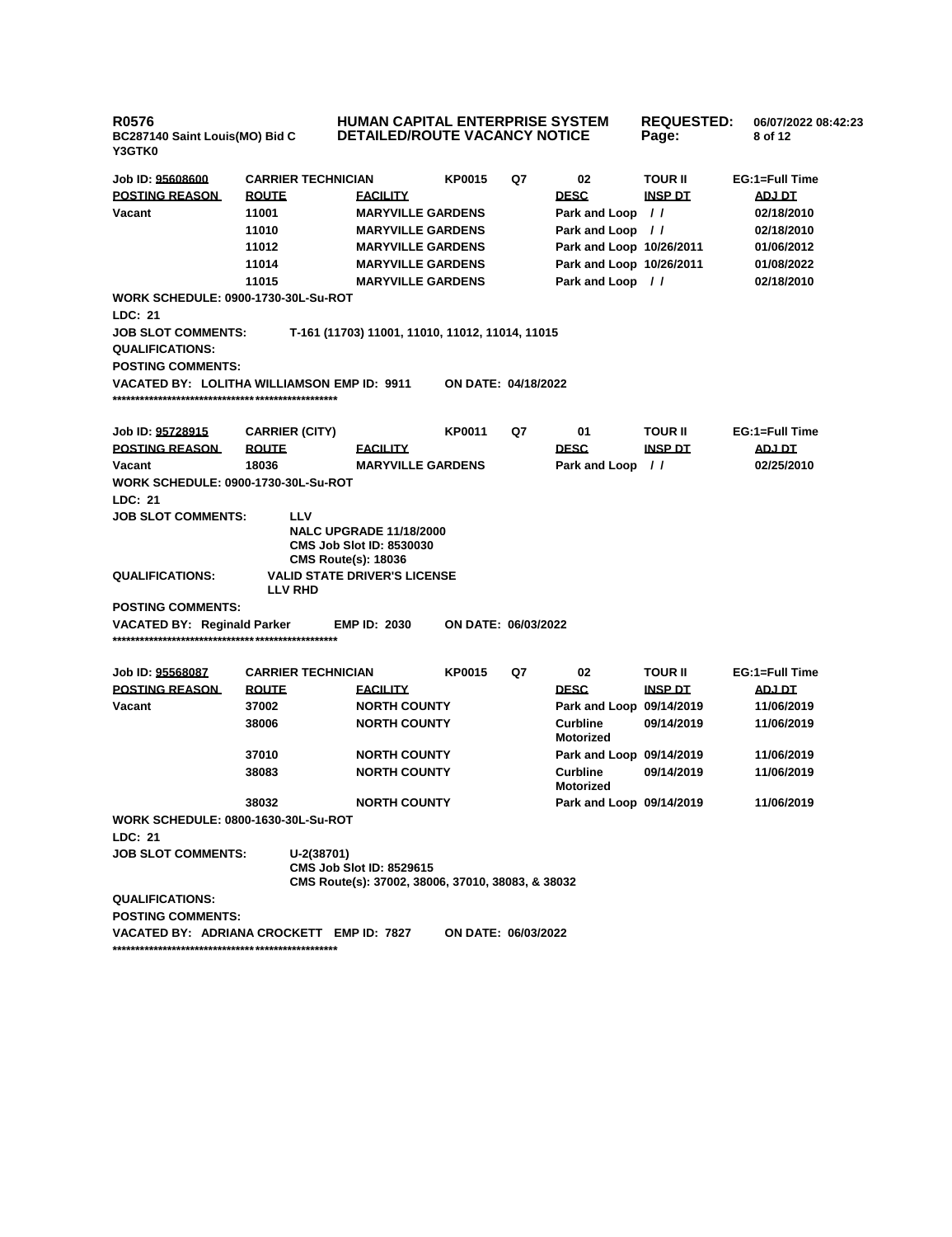| <b>R0576</b><br>BC287140 Saint Louis(MO) Bid C<br>Y3GTK0          |                           | <b>HUMAN CAPITAL ENTERPRISE SYSTEM</b><br><b>DETAILED/ROUTE VACANCY NOTICE</b>                  |                                                   |    |                              | <b>REQUESTED:</b><br>Page: | 06/07/2022 08:42:23<br>8 of 12 |
|-------------------------------------------------------------------|---------------------------|-------------------------------------------------------------------------------------------------|---------------------------------------------------|----|------------------------------|----------------------------|--------------------------------|
| Job ID: 95608600                                                  | <b>CARRIER TECHNICIAN</b> |                                                                                                 | <b>KP0015</b>                                     | Q7 | 02                           | <b>TOUR II</b>             | EG:1=Full Time                 |
| <b>POSTING REASON</b>                                             | <b>ROUTE</b>              | <b>FACILITY</b>                                                                                 |                                                   |    | <b>DESC</b>                  | <b>INSP DT</b>             | ADJ DT                         |
| Vacant                                                            | 11001                     |                                                                                                 | <b>MARYVILLE GARDENS</b>                          |    | Park and Loop                | $\prime$                   | 02/18/2010                     |
|                                                                   | 11010                     |                                                                                                 | <b>MARYVILLE GARDENS</b>                          |    | Park and Loop                | $\prime\prime$             | 02/18/2010                     |
|                                                                   | 11012                     |                                                                                                 | <b>MARYVILLE GARDENS</b>                          |    | Park and Loop 10/26/2011     |                            | 01/06/2012                     |
|                                                                   | 11014                     |                                                                                                 | <b>MARYVILLE GARDENS</b>                          |    | Park and Loop 10/26/2011     |                            | 01/08/2022                     |
|                                                                   | 11015                     |                                                                                                 | <b>MARYVILLE GARDENS</b>                          |    | Park and Loop //             |                            | 02/18/2010                     |
| <b>WORK SCHEDULE: 0900-1730-30L-Su-ROT</b><br>LDC: 21             |                           |                                                                                                 |                                                   |    |                              |                            |                                |
| JOB SLOT COMMENTS:<br><b>QUALIFICATIONS:</b><br>POSTING COMMENTS: |                           |                                                                                                 | T-161 (11703) 11001, 11010, 11012, 11014, 11015   |    |                              |                            |                                |
| VACATED BY:   LOLITHA WILLIAMSON EMP ID:  9911                    |                           |                                                                                                 | <b>ON DATE: 04/18/2022</b>                        |    |                              |                            |                                |
| Job ID: <u>95728915</u>                                           | <b>CARRIER (CITY)</b>     |                                                                                                 | <b>KP0011</b>                                     | Q7 | 01                           | <b>TOUR II</b>             | EG:1=Full Time                 |
| <b>POSTING REASON</b>                                             | <b>ROUTE</b>              | <b>FACILITY</b>                                                                                 |                                                   |    | <b>DESC</b>                  | <b>INSP DT</b>             | ADJ DT                         |
| Vacant                                                            | 18036                     |                                                                                                 | <b>MARYVILLE GARDENS</b>                          |    | Park and Loop                | $\frac{1}{2}$              | 02/25/2010                     |
| <b>WORK SCHEDULE: 0900-1730-30L-Su-ROT</b>                        |                           |                                                                                                 |                                                   |    |                              |                            |                                |
| LDC: 21                                                           |                           |                                                                                                 |                                                   |    |                              |                            |                                |
| <b>JOB SLOT COMMENTS:</b>                                         | LLV                       | <b>NALC UPGRADE 11/18/2000</b><br><b>CMS Job Slot ID: 8530030</b><br><b>CMS Route(s): 18036</b> |                                                   |    |                              |                            |                                |
| <b>QUALIFICATIONS:</b>                                            | <b>LLV RHD</b>            | <b>VALID STATE DRIVER'S LICENSE</b>                                                             |                                                   |    |                              |                            |                                |
| <b>POSTING COMMENTS:</b>                                          |                           |                                                                                                 |                                                   |    |                              |                            |                                |
| VACATED BY: Reginald Parker                                       |                           | <b>EMP ID: 2030</b>                                                                             | ON DATE: 06/03/2022                               |    |                              |                            |                                |
| Job ID: <u>95568087</u>                                           | <b>CARRIER TECHNICIAN</b> |                                                                                                 | <b>KP0015</b>                                     | Q7 | 02                           | <b>TOUR II</b>             | EG:1=Full Time                 |
| <b>POSTING REASON</b>                                             | <b>ROUTE</b>              | <b>FACILITY</b>                                                                                 |                                                   |    | <b>DESC</b>                  | <b>INSP DT</b>             | ADJ DT                         |
| Vacant                                                            | 37002                     | <b>NORTH COUNTY</b>                                                                             |                                                   |    | Park and Loop 09/14/2019     |                            | 11/06/2019                     |
|                                                                   | 38006                     | <b>NORTH COUNTY</b>                                                                             |                                                   |    | Curbline<br><b>Motorized</b> | 09/14/2019                 | 11/06/2019                     |
|                                                                   | 37010                     | <b>NORTH COUNTY</b>                                                                             |                                                   |    | Park and Loop 09/14/2019     |                            | 11/06/2019                     |
|                                                                   | 38083                     | <b>NORTH COUNTY</b>                                                                             |                                                   |    | <b>Curbline</b><br>Motorized | 09/14/2019                 | 11/06/2019                     |
|                                                                   | 38032                     | <b>NORTH COUNTY</b>                                                                             |                                                   |    | Park and Loop 09/14/2019     |                            | 11/06/2019                     |
| WORK SCHEDULE: 0800-1630-30L-Su-ROT                               |                           |                                                                                                 |                                                   |    |                              |                            |                                |
| LDC: 21                                                           |                           |                                                                                                 |                                                   |    |                              |                            |                                |
| <b>JOB SLOT COMMENTS:</b>                                         | U-2(38701)                | <b>CMS Job Slot ID: 8529615</b>                                                                 | CMS Route(s): 37002, 38006, 37010, 38083, & 38032 |    |                              |                            |                                |
| <b>QUALIFICATIONS:</b><br>POSTING COMMENTS:                       |                           |                                                                                                 |                                                   |    |                              |                            |                                |
| VACATED BY: ADRIANA CROCKETT EMP ID: 7827                         |                           |                                                                                                 | ON DATE: 06/03/2022                               |    |                              |                            |                                |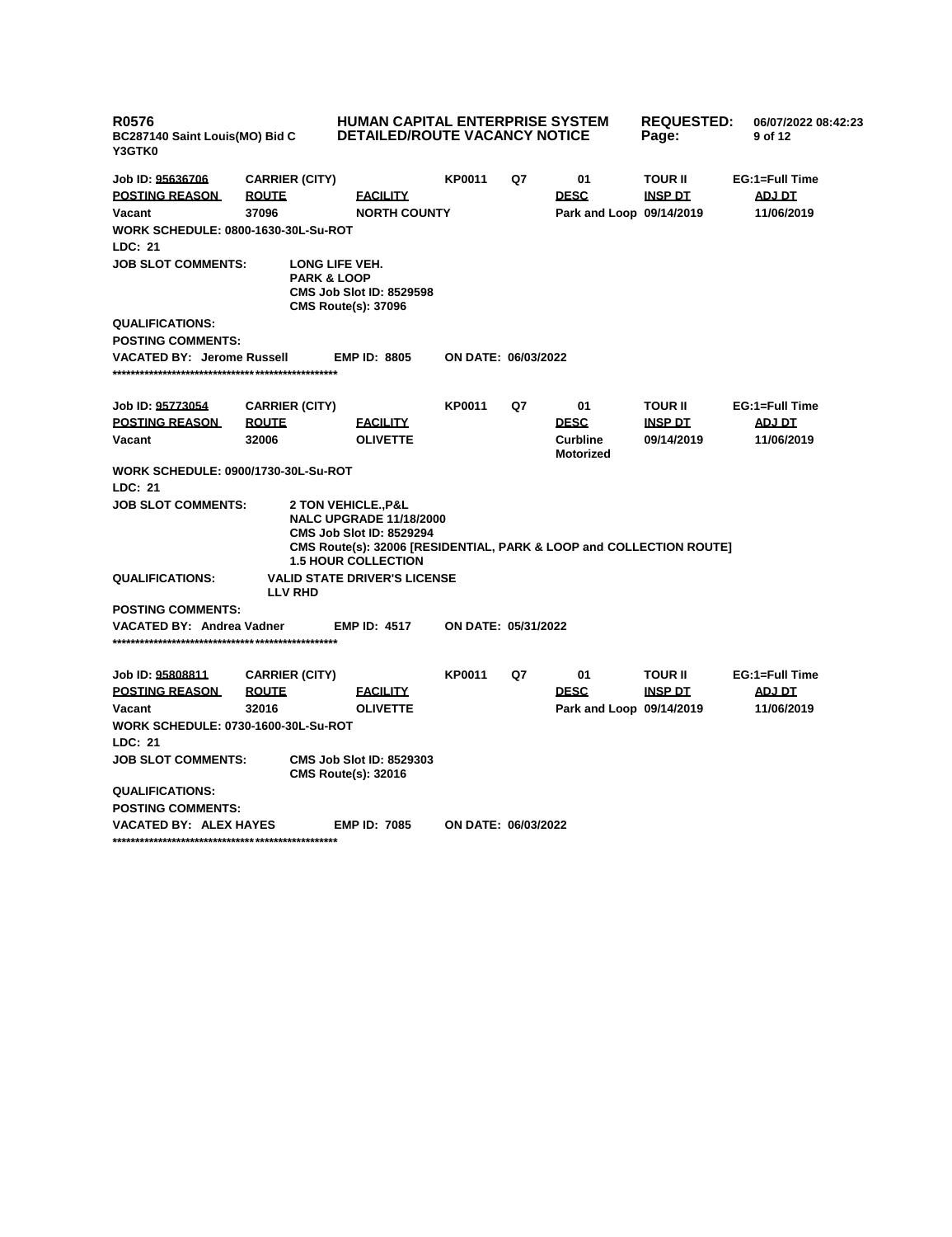| <b>R0576</b><br>BC287140 Saint Louis(MO) Bid C<br>Y3GTK0                                                                               |                       | HUMAN CAPITAL ENTERPRISE SYSTEM<br><b>DETAILED/ROUTE VACANCY NOTICE</b>                                                                                                                                 |                            |    | <b>REQUESTED:</b><br>Page: | 06/07/2022 08:42:23<br>9 of 12 |                |
|----------------------------------------------------------------------------------------------------------------------------------------|-----------------------|---------------------------------------------------------------------------------------------------------------------------------------------------------------------------------------------------------|----------------------------|----|----------------------------|--------------------------------|----------------|
| Job ID: 95636706                                                                                                                       | <b>CARRIER (CITY)</b> |                                                                                                                                                                                                         | <b>KP0011</b>              | Q7 | 01                         | <b>TOUR II</b>                 | EG:1=Full Time |
| <b>POSTING REASON</b>                                                                                                                  | <b>ROUTE</b>          | <b>EACILITY</b>                                                                                                                                                                                         |                            |    | <b>DESC</b>                | <b>INSP DT</b>                 | ADJ DT         |
| Vacant                                                                                                                                 | 37096                 | <b>NORTH COUNTY</b>                                                                                                                                                                                     |                            |    | Park and Loop 09/14/2019   |                                | 11/06/2019     |
| <b>WORK SCHEDULE: 0800-1630-30L-Su-ROT</b>                                                                                             |                       |                                                                                                                                                                                                         |                            |    |                            |                                |                |
| LDC: 21                                                                                                                                |                       |                                                                                                                                                                                                         |                            |    |                            |                                |                |
| <b>JOB SLOT COMMENTS:</b><br>LONG LIFE VEH.<br><b>PARK &amp; LOOP</b><br><b>CMS Job Slot ID: 8529598</b><br><b>CMS Route(s): 37096</b> |                       |                                                                                                                                                                                                         |                            |    |                            |                                |                |
| <b>QUALIFICATIONS:</b>                                                                                                                 |                       |                                                                                                                                                                                                         |                            |    |                            |                                |                |
| <b>POSTING COMMENTS:</b>                                                                                                               |                       |                                                                                                                                                                                                         |                            |    |                            |                                |                |
| <b>VACATED BY: Jerome Russell</b>                                                                                                      |                       | <b>EMP ID: 8805</b>                                                                                                                                                                                     | ON DATE: 06/03/2022        |    |                            |                                |                |
|                                                                                                                                        |                       |                                                                                                                                                                                                         |                            |    |                            |                                |                |
| Job ID: 95773054                                                                                                                       | <b>CARRIER (CITY)</b> |                                                                                                                                                                                                         | <b>KP0011</b>              | Q7 | 01                         | <b>TOUR II</b>                 | EG:1=Full Time |
| <b>POSTING REASON</b>                                                                                                                  | <b>ROUTE</b>          | <b>FACILITY</b>                                                                                                                                                                                         |                            |    | <b>DESC</b>                | <b>INSP DT</b>                 | <u>ADJ DT</u>  |
| Vacant                                                                                                                                 | 32006                 | <b>OLIVETTE</b>                                                                                                                                                                                         |                            |    | Curbline<br>Motorized      | 09/14/2019                     | 11/06/2019     |
| <b>WORK SCHEDULE: 0900/1730-30L-Su-ROT</b>                                                                                             |                       |                                                                                                                                                                                                         |                            |    |                            |                                |                |
| LDC: 21                                                                                                                                |                       |                                                                                                                                                                                                         |                            |    |                            |                                |                |
| <b>JOB SLOT COMMENTS:</b>                                                                                                              |                       | <b>2 TON VEHICLE.,P&amp;L</b><br><b>NALC UPGRADE 11/18/2000</b><br><b>CMS Job Slot ID: 8529294</b><br>CMS Route(s): 32006 [RESIDENTIAL, PARK & LOOP and COLLECTION ROUTE]<br><b>1.5 HOUR COLLECTION</b> |                            |    |                            |                                |                |
| <b>QUALIFICATIONS:</b>                                                                                                                 | <b>LLV RHD</b>        | <b>VALID STATE DRIVER'S LICENSE</b>                                                                                                                                                                     |                            |    |                            |                                |                |
| <b>POSTING COMMENTS:</b>                                                                                                               |                       |                                                                                                                                                                                                         |                            |    |                            |                                |                |
| VACATED BY: Andrea Vadner                                                                                                              |                       | <b>EMP ID: 4517</b>                                                                                                                                                                                     | ON DATE: 05/31/2022        |    |                            |                                |                |
|                                                                                                                                        |                       |                                                                                                                                                                                                         |                            |    |                            |                                |                |
| Job ID: 95808811                                                                                                                       | <b>CARRIER (CITY)</b> |                                                                                                                                                                                                         | <b>KP0011</b>              | Q7 | 01                         | <b>TOUR II</b>                 | EG:1=Full Time |
| <b>POSTING REASON</b>                                                                                                                  | <b>ROUTE</b>          | <b>FACILITY</b>                                                                                                                                                                                         |                            |    | <b>DESC</b>                | <u>INSP DT</u>                 | <b>ADJ DT</b>  |
| Vacant                                                                                                                                 | 32016                 | <b>OLIVETTE</b>                                                                                                                                                                                         |                            |    | Park and Loop 09/14/2019   |                                | 11/06/2019     |
| <b>WORK SCHEDULE: 0730-1600-30L-Su-ROT</b>                                                                                             |                       |                                                                                                                                                                                                         |                            |    |                            |                                |                |
| <b>LDC: 21</b>                                                                                                                         |                       |                                                                                                                                                                                                         |                            |    |                            |                                |                |
| <b>JOB SLOT COMMENTS:</b>                                                                                                              |                       | <b>CMS Job Slot ID: 8529303</b><br><b>CMS Route(s): 32016</b>                                                                                                                                           |                            |    |                            |                                |                |
| <b>QUALIFICATIONS:</b>                                                                                                                 |                       |                                                                                                                                                                                                         |                            |    |                            |                                |                |
| <b>POSTING COMMENTS:</b>                                                                                                               |                       |                                                                                                                                                                                                         |                            |    |                            |                                |                |
| VACATED BY: ALEX HAYES                                                                                                                 |                       | <b>EMP ID: 7085</b>                                                                                                                                                                                     | <b>ON DATE: 06/03/2022</b> |    |                            |                                |                |

**\*\*\*\*\*\*\*\*\*\*\*\*\*\*\*\*\*\*\*\*\*\*\*\*\*\*\*\*\*\*\*\*\*\*\*\*\*\*\*\*\*\*\*\*\*\*\*\*\***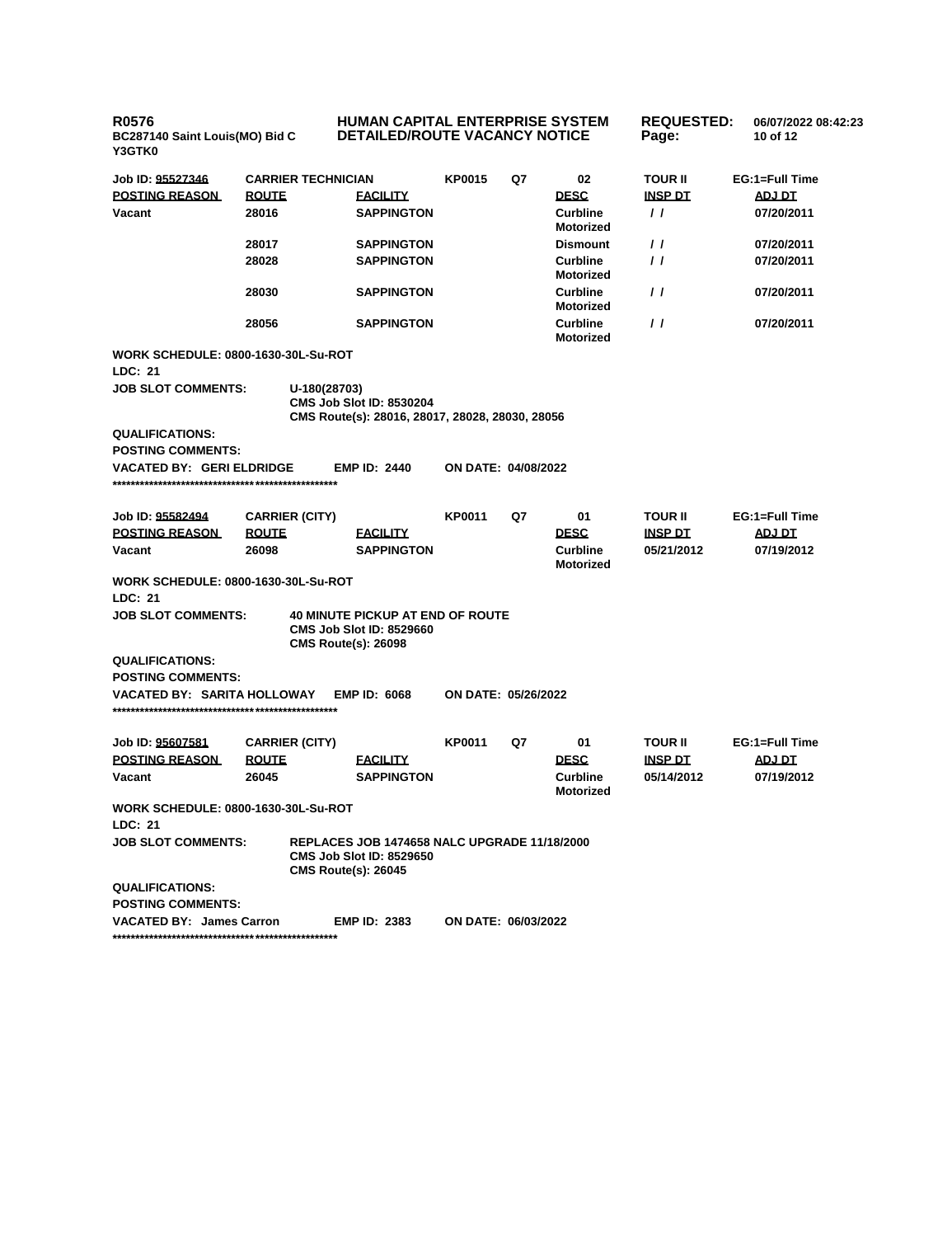**R0576 BC287140 Saint Louis(MO) Bid C Y3GTK0 HUMAN CAPITAL ENTERPRISE SYSTEM DETAILED/ROUTE VACANCY NOTICE REQUESTED: 06/07/2022 08:42:23 Page: 10 of 12 Job ID: 95527346 CARRIER TECHNICIAN KP0015 Q7 02 TOUR II EG:1=Full Time POSTING REASON ROUTE FACILITY DESC INSP DT ADJ DT Vacant 28016 SAPPINGTON Curbline Motorized / / 07/20/2011 28017 SAPPINGTON Dismount / / 07/20/2011 28028 SAPPINGTON Curbline Motorized / / 07/20/2011 28030 SAPPINGTON Curbline Motorized / / 07/20/2011 28056 SAPPINGTON Curbline Motorized / / 07/20/2011 WORK SCHEDULE: 0800-1630-30L-Su-ROT LDC: 21 JOB SLOT COMMENTS: U-180(28703) CMS Job Slot ID: 8530204 CMS Route(s): 28016, 28017, 28028, 28030, 28056 QUALIFICATIONS: POSTING COMMENTS: VACATED BY: GERI ELDRIDGE EMP ID: 2440 ON DATE: 04/08/2022 \*\*\*\*\*\*\*\*\*\*\*\*\*\*\*\*\*\*\*\*\*\*\*\*\*\*\*\*\*\*\*\*\*\*\*\*\*\*\*\*\*\*\*\*\*\*\*\*\* Job ID: 95582494 CARRIER (CITY) KP0011 Q7 01 TOUR II EG:1=Full Time POSTING REASON ROUTE FACILITY DESC INSP DT ADJ DT Vacant 26098 SAPPINGTON Curbline Motorized 05/21/2012 07/19/2012 WORK SCHEDULE: 0800-1630-30L-Su-ROT LDC: 21 JOB SLOT COMMENTS: 40 MINUTE PICKUP AT END OF ROUTE CMS Job Slot ID: 8529660 CMS Route(s): 26098 QUALIFICATIONS: POSTING COMMENTS: VACATED BY: SARITA HOLLOWAY EMP ID: 6068 ON DATE: 05/26/2022 \*\*\*\*\*\*\*\*\*\*\*\*\*\*\*\*\*\*\*\*\*\*\*\*\*\*\*\*\*\*\*\*\*\*\*\*\*\*\*\*\*\*\*\*\*\*\*\*\* Job ID: 95607581 CARRIER (CITY) KP0011 Q7 01 TOUR II EG:1=Full Time POSTING REASON ROUTE FACILITY DESC INSP DT ADJ DT Vacant 26045 SAPPINGTON Curbline Motorized 05/14/2012 07/19/2012 WORK SCHEDULE: 0800-1630-30L-Su-ROT LDC: 21 JOB SLOT COMMENTS: REPLACES JOB 1474658 NALC UPGRADE 11/18/2000 CMS Job Slot ID: 8529650 CMS Route(s): 26045 QUALIFICATIONS: POSTING COMMENTS: VACATED BY: James Carron EMP ID: 2383 ON DATE: 06/03/2022 \*\*\*\*\*\*\*\*\*\*\*\*\*\*\*\*\*\*\*\*\*\*\*\*\*\*\*\*\*\*\*\*\*\*\*\*\*\*\*\*\*\*\*\*\*\*\*\*\***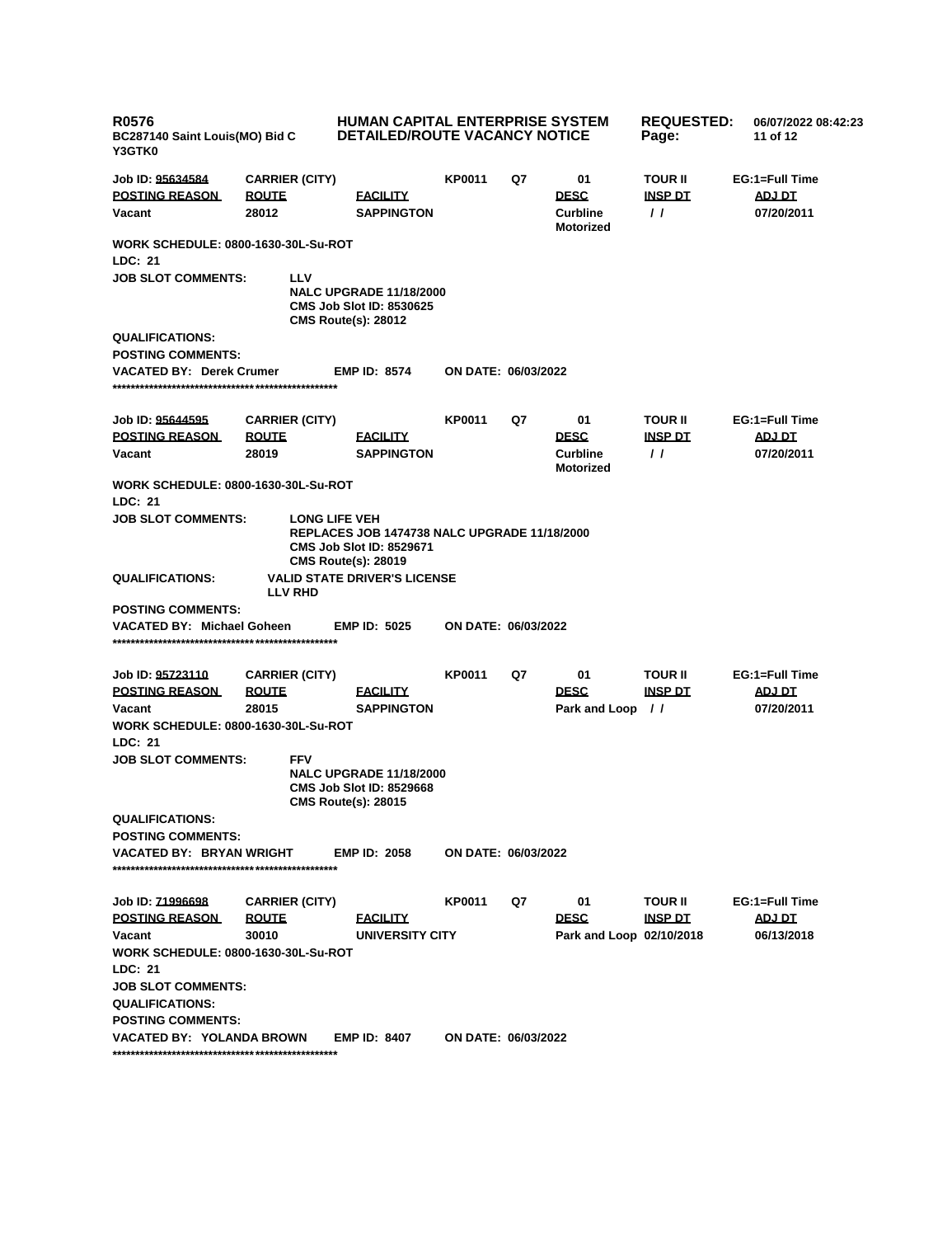| <b>R0576</b><br>BC287140 Saint Louis(MO) Bid C<br>Y3GTK0                                                                                                                                        |                                                | <b>HUMAN CAPITAL ENTERPRISE SYSTEM</b><br><b>DETAILED/ROUTE VACANCY NOTICE</b>                                                        |                            |    |                                                          | <b>REQUESTED:</b><br>06/07/2022 08:42:23<br>11 of 12 |                                        |
|-------------------------------------------------------------------------------------------------------------------------------------------------------------------------------------------------|------------------------------------------------|---------------------------------------------------------------------------------------------------------------------------------------|----------------------------|----|----------------------------------------------------------|------------------------------------------------------|----------------------------------------|
| Job ID: 95634584<br><b>POSTING REASON</b><br>Vacant                                                                                                                                             | <b>CARRIER (CITY)</b><br><b>ROUTE</b><br>28012 | <b>FACILITY</b><br><b>SAPPINGTON</b>                                                                                                  | KP0011                     | Q7 | 01<br><b>DESC</b><br><b>Curbline</b><br><b>Motorized</b> | <b>TOUR II</b><br><b>INSP DT</b><br>$\prime$         | EG:1=Full Time<br>ADJ DT<br>07/20/2011 |
| <b>WORK SCHEDULE: 0800-1630-30L-Su-ROT</b><br>LDC: 21                                                                                                                                           |                                                |                                                                                                                                       |                            |    |                                                          |                                                      |                                        |
| <b>JOB SLOT COMMENTS:</b>                                                                                                                                                                       | LLV                                            | <b>NALC UPGRADE 11/18/2000</b><br><b>CMS Job Slot ID: 8530625</b><br><b>CMS Route(s): 28012</b>                                       |                            |    |                                                          |                                                      |                                        |
| <b>QUALIFICATIONS:</b><br><b>POSTING COMMENTS:</b>                                                                                                                                              |                                                |                                                                                                                                       |                            |    |                                                          |                                                      |                                        |
| <b>VACATED BY: Derek Crumer</b>                                                                                                                                                                 |                                                | <b>EMP ID: 8574</b>                                                                                                                   | <b>ON DATE: 06/03/2022</b> |    |                                                          |                                                      |                                        |
| Job ID: 95644595<br><b>POSTING REASON</b><br>Vacant                                                                                                                                             | <b>CARRIER (CITY)</b><br><b>ROUTE</b><br>28019 | <b>FACILITY</b><br><b>SAPPINGTON</b>                                                                                                  | KP0011                     | Q7 | 01<br><b>DESC</b><br><b>Curbline</b><br><b>Motorized</b> | <b>TOUR II</b><br><b>INSP DT</b><br>$\prime$         | EG:1=Full Time<br>ADJ DT<br>07/20/2011 |
| <b>WORK SCHEDULE: 0800-1630-30L-Su-ROT</b>                                                                                                                                                      |                                                |                                                                                                                                       |                            |    |                                                          |                                                      |                                        |
| LDC: 21<br><b>JOB SLOT COMMENTS:</b>                                                                                                                                                            |                                                | <b>LONG LIFE VEH</b><br>REPLACES JOB 1474738 NALC UPGRADE 11/18/2000<br><b>CMS Job Slot ID: 8529671</b><br><b>CMS Route(s): 28019</b> |                            |    |                                                          |                                                      |                                        |
| <b>QUALIFICATIONS:</b>                                                                                                                                                                          | <b>LLV RHD</b>                                 | <b>VALID STATE DRIVER'S LICENSE</b>                                                                                                   |                            |    |                                                          |                                                      |                                        |
| <b>POSTING COMMENTS:</b><br><b>VACATED BY: Michael Goheen</b>                                                                                                                                   |                                                | <b>EMP ID: 5025</b>                                                                                                                   | ON DATE: 06/03/2022        |    |                                                          |                                                      |                                        |
| Job ID: 95723110                                                                                                                                                                                | <b>CARRIER (CITY)</b>                          |                                                                                                                                       | KP0011                     | Q7 | 01                                                       | <b>TOUR II</b>                                       | EG:1=Full Time                         |
| <b>POSTING REASON</b><br>Vacant                                                                                                                                                                 | <u>ROUTE</u><br>28015                          | <b>FACILITY</b><br><b>SAPPINGTON</b>                                                                                                  |                            |    | <b>DESC</b><br>Park and Loop                             | <b>INSP DT</b><br>$\frac{1}{2}$                      | ADJ DT<br>07/20/2011                   |
| <b>WORK SCHEDULE: 0800-1630-30L-Su-ROT</b><br>LDC: 21                                                                                                                                           |                                                |                                                                                                                                       |                            |    |                                                          |                                                      |                                        |
| <b>JOB SLOT COMMENTS:</b>                                                                                                                                                                       | <b>FFV</b>                                     | <b>NALC UPGRADE 11/18/2000</b><br><b>CMS Job Slot ID: 8529668</b><br><b>CMS Route(s): 28015</b>                                       |                            |    |                                                          |                                                      |                                        |
| <b>QUALIFICATIONS:</b>                                                                                                                                                                          |                                                |                                                                                                                                       |                            |    |                                                          |                                                      |                                        |
| <b>POSTING COMMENTS:</b><br><b>VACATED BY: BRYAN WRIGHT</b>                                                                                                                                     |                                                | <b>EMP ID: 2058</b>                                                                                                                   | ON DATE: 06/03/2022        |    |                                                          |                                                      |                                        |
| Job ID: 71996698<br><b>POSTING REASON</b><br>Vacant<br><b>WORK SCHEDULE: 0800-1630-30L-Su-ROT</b><br>LDC: 21<br><b>JOB SLOT COMMENTS:</b><br><b>QUALIFICATIONS:</b><br><b>POSTING COMMENTS:</b> | <b>CARRIER (CITY)</b><br><b>ROUTE</b><br>30010 | <b>FACILITY</b><br>UNIVERSITY CITY                                                                                                    | KP0011                     | Q7 | 01<br><b>DESC</b><br>Park and Loop 02/10/2018            | <b>TOUR II</b><br><b>INSP DT</b>                     | EG:1=Full Time<br>ADJ DT<br>06/13/2018 |
| VACATED BY: YOLANDA BROWN                                                                                                                                                                       |                                                | <b>EMP ID: 8407</b>                                                                                                                   | <b>ON DATE: 06/03/2022</b> |    |                                                          |                                                      |                                        |